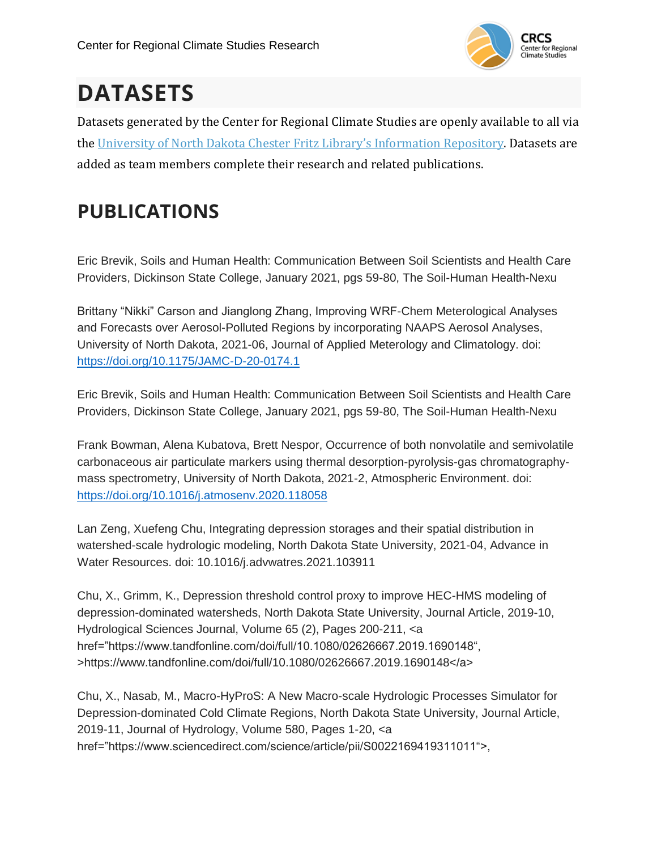

# **DATASETS**

Datasets generated by the Center for Regional Climate Studies are openly available to all via the University of North Dakota Chester Fritz Library's [Information](https://commons.und.edu/data/) Repository. Datasets are added as team members complete their research and related publications.

# **PUBLICATIONS**

Eric Brevik, Soils and Human Health: Communication Between Soil Scientists and Health Care Providers, Dickinson State College, January 2021, pgs 59-80, The Soil-Human Health-Nexu

Brittany "Nikki" Carson and Jianglong Zhang, Improving WRF-Chem Meterological Analyses and Forecasts over Aerosol-Polluted Regions by incorporating NAAPS Aerosol Analyses, University of North Dakota, 2021-06, Journal of Applied Meterology and Climatology. doi: <https://doi.org/10.1175/JAMC-D-20-0174.1>

Eric Brevik, Soils and Human Health: Communication Between Soil Scientists and Health Care Providers, Dickinson State College, January 2021, pgs 59-80, The Soil-Human Health-Nexu

Frank Bowman, Alena Kubatova, Brett Nespor, Occurrence of both nonvolatile and semivolatile carbonaceous air particulate markers using thermal desorption-pyrolysis-gas chromatographymass spectrometry, University of North Dakota, 2021-2, Atmospheric Environment. doi: <https://doi.org/10.1016/j.atmosenv.2020.118058>

Lan Zeng, Xuefeng Chu, Integrating depression storages and their spatial distribution in watershed-scale hydrologic modeling, North Dakota State University, 2021-04, Advance in Water Resources. doi: 10.1016/j.advwatres.2021.103911

Chu, X., Grimm, K., Depression threshold control proxy to improve HEC-HMS modeling of depression-dominated watersheds, North Dakota State University, Journal Article, 2019-10, Hydrological Sciences Journal, Volume 65 (2), Pages 200-211, <a href="https://www.tandfonline.com/doi/full/10.1080/02626667.2019.1690148", >https://www.tandfonline.com/doi/full/10.1080/02626667.2019.1690148</a>

Chu, X., Nasab, M., Macro-HyProS: A New Macro-scale Hydrologic Processes Simulator for Depression-dominated Cold Climate Regions, North Dakota State University, Journal Article, 2019-11, Journal of Hydrology, Volume 580, Pages 1-20, <a href="https://www.sciencedirect.com/science/article/pii/S0022169419311011">,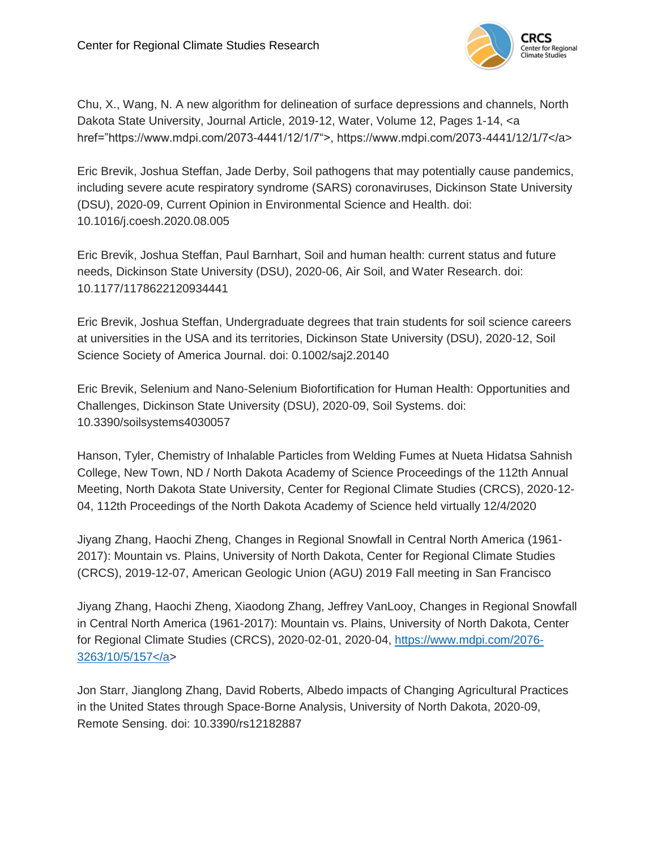

Chu, X., Wang, N. A new algorithm for delineation of surface depressions and channels, North Dakota State University, Journal Article, 2019-12, Water, Volume 12, Pages 1-14, <a href="https://www.mdpi.com/2073-4441/12/1/7">, https://www.mdpi.com/2073-4441/12/1/7</a>

Eric Brevik, Joshua Steffan, Jade Derby, Soil pathogens that may potentially cause pandemics, including severe acute respiratory syndrome (SARS) coronaviruses, Dickinson State University (DSU), 2020-09, Current Opinion in Environmental Science and Health. doi: 10.1016/j.coesh.2020.08.005

Eric Brevik, Joshua Steffan, Paul Barnhart, Soil and human health: current status and future needs, Dickinson State University (DSU), 2020-06, Air Soil, and Water Research. doi: 10.1177/1178622120934441

Eric Brevik, Joshua Steffan, Undergraduate degrees that train students for soil science careers at universities in the USA and its territories, Dickinson State University (DSU), 2020-12, Soil Science Society of America Journal. doi: 0.1002/saj2.20140

Eric Brevik, Selenium and Nano-Selenium Biofortification for Human Health: Opportunities and Challenges, Dickinson State University (DSU), 2020-09, Soil Systems. doi: 10.3390/soilsystems4030057

Hanson, Tyler, Chemistry of Inhalable Particles from Welding Fumes at Nueta Hidatsa Sahnish College, New Town, ND / North Dakota Academy of Science Proceedings of the 112th Annual Meeting, North Dakota State University, Center for Regional Climate Studies (CRCS), 2020-12- 04, 112th Proceedings of the North Dakota Academy of Science held virtually 12/4/2020

Jiyang Zhang, Haochi Zheng, Changes in Regional Snowfall in Central North America (1961- 2017): Mountain vs. Plains, University of North Dakota, Center for Regional Climate Studies (CRCS), 2019-12-07, American Geologic Union (AGU) 2019 Fall meeting in San Francisco

Jiyang Zhang, Haochi Zheng, Xiaodong Zhang, Jeffrey VanLooy, Changes in Regional Snowfall in Central North America (1961-2017): Mountain vs. Plains, University of North Dakota, Center for Regional Climate Studies (CRCS), 2020-02-01, 2020-04, [https://www.mdpi.com/2076-](https://www.mdpi.com/2076-3263/10/5/157%3c/a) [3263/10/5/157</a>](https://www.mdpi.com/2076-3263/10/5/157%3c/a)

Jon Starr, Jianglong Zhang, David Roberts, Albedo impacts of Changing Agricultural Practices in the United States through Space-Borne Analysis, University of North Dakota, 2020-09, Remote Sensing. doi: 10.3390/rs12182887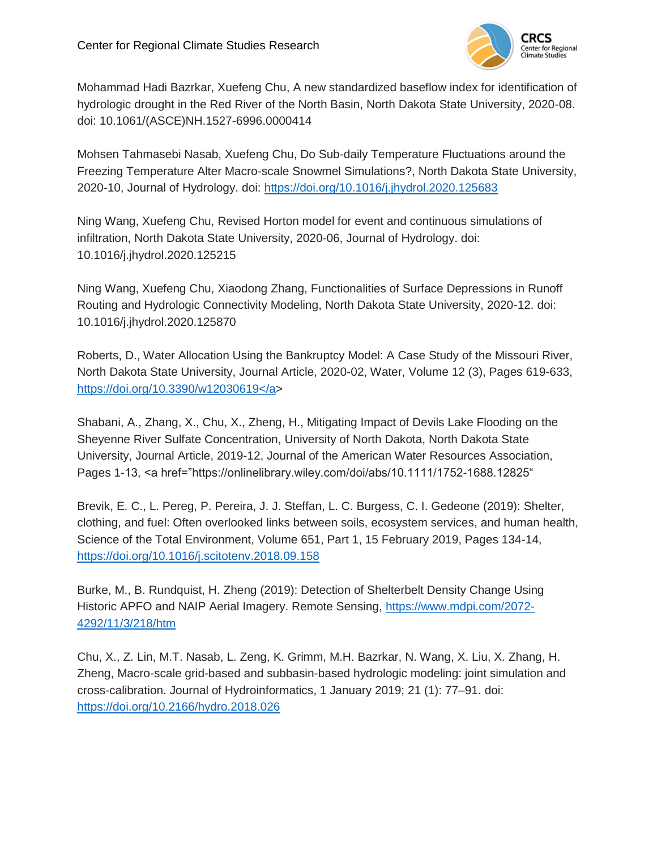

Mohammad Hadi Bazrkar, Xuefeng Chu, A new standardized baseflow index for identification of hydrologic drought in the Red River of the North Basin, North Dakota State University, 2020-08. doi: 10.1061/(ASCE)NH.1527-6996.0000414

Mohsen Tahmasebi Nasab, Xuefeng Chu, Do Sub-daily Temperature Fluctuations around the Freezing Temperature Alter Macro-scale Snowmel Simulations?, North Dakota State University, 2020-10, Journal of Hydrology. doi:<https://doi.org/10.1016/j.jhydrol.2020.125683>

Ning Wang, Xuefeng Chu, Revised Horton model for event and continuous simulations of infiltration, North Dakota State University, 2020-06, Journal of Hydrology. doi: 10.1016/j.jhydrol.2020.125215

Ning Wang, Xuefeng Chu, Xiaodong Zhang, Functionalities of Surface Depressions in Runoff Routing and Hydrologic Connectivity Modeling, North Dakota State University, 2020-12. doi: 10.1016/j.jhydrol.2020.125870

Roberts, D., Water Allocation Using the Bankruptcy Model: A Case Study of the Missouri River, North Dakota State University, Journal Article, 2020-02, Water, Volume 12 (3), Pages 619-633, [https://doi.org/10.3390/w12030619</a>](https://doi.org/10.3390/w12030619%3c/a)

Shabani, A., Zhang, X., Chu, X., Zheng, H., Mitigating Impact of Devils Lake Flooding on the Sheyenne River Sulfate Concentration, University of North Dakota, North Dakota State University, Journal Article, 2019-12, Journal of the American Water Resources Association, Pages 1-13, <a href="https://onlinelibrary.wiley.com/doi/abs/10.1111/1752-1688.12825"

Brevik, E. C., L. Pereg, P. Pereira, J. J. Steffan, L. C. Burgess, C. I. Gedeone (2019): Shelter, clothing, and fuel: Often overlooked links between soils, ecosystem services, and human health, Science of the Total Environment, Volume 651, Part 1, 15 February 2019, Pages 134-14, <https://doi.org/10.1016/j.scitotenv.2018.09.158>

Burke, M., B. Rundquist, H. Zheng (2019): Detection of Shelterbelt Density Change Using Historic APFO and NAIP Aerial Imagery. Remote Sensing, [https://www.mdpi.com/2072-](https://www.mdpi.com/2072-4292/11/3/218/htm) [4292/11/3/218/htm](https://www.mdpi.com/2072-4292/11/3/218/htm)

Chu, X., Z. Lin, M.T. Nasab, L. Zeng, K. Grimm, M.H. Bazrkar, N. Wang, X. Liu, X. Zhang, H. Zheng, Macro-scale grid-based and subbasin-based hydrologic modeling: joint simulation and cross-calibration. Journal of Hydroinformatics, 1 January 2019; 21 (1): 77–91. doi: <https://doi.org/10.2166/hydro.2018.026>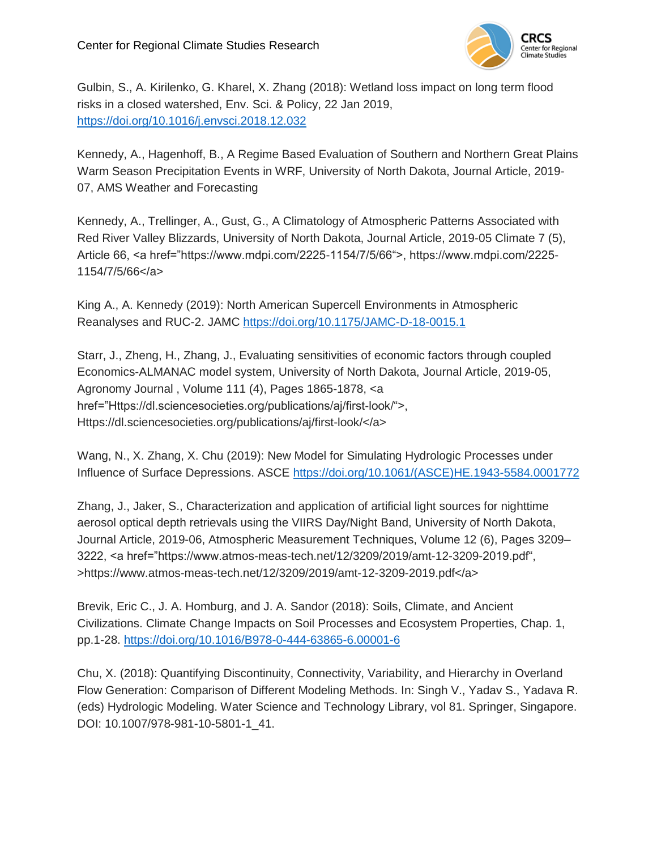

Gulbin, S., A. Kirilenko, G. Kharel, X. Zhang (2018): Wetland loss impact on long term flood risks in a closed watershed, Env. Sci. & Policy, 22 Jan 2019, <https://doi.org/10.1016/j.envsci.2018.12.032>

Kennedy, A., Hagenhoff, B., A Regime Based Evaluation of Southern and Northern Great Plains Warm Season Precipitation Events in WRF, University of North Dakota, Journal Article, 2019- 07, AMS Weather and Forecasting

Kennedy, A., Trellinger, A., Gust, G., A Climatology of Atmospheric Patterns Associated with Red River Valley Blizzards, University of North Dakota, Journal Article, 2019-05 Climate 7 (5), Article 66, <a href="https://www.mdpi.com/2225-1154/7/5/66">, https://www.mdpi.com/2225- 1154/7/5/66</a>

King A., A. Kennedy (2019): North American Supercell Environments in Atmospheric Reanalyses and RUC-2. JAMC<https://doi.org/10.1175/JAMC-D-18-0015.1>

Starr, J., Zheng, H., Zhang, J., Evaluating sensitivities of economic factors through coupled Economics-ALMANAC model system, University of North Dakota, Journal Article, 2019-05, Agronomy Journal , Volume 111 (4), Pages 1865-1878, <a href="Https://dl.sciencesocieties.org/publications/aj/first-look/">, Https://dl.sciencesocieties.org/publications/aj/first-look/</a>

Wang, N., X. Zhang, X. Chu (2019): New Model for Simulating Hydrologic Processes under Influence of Surface Depressions. ASCE [https://doi.org/10.1061/\(ASCE\)HE.1943-5584.0001772](https://doi.org/10.1061/(ASCE)HE.1943-5584.0001772)

Zhang, J., Jaker, S., Characterization and application of artificial light sources for nighttime aerosol optical depth retrievals using the VIIRS Day/Night Band, University of North Dakota, Journal Article, 2019-06, Atmospheric Measurement Techniques, Volume 12 (6), Pages 3209– 3222, <a href="https://www.atmos-meas-tech.net/12/3209/2019/amt-12-3209-2019.pdf", >https://www.atmos-meas-tech.net/12/3209/2019/amt-12-3209-2019.pdf</a>

Brevik, Eric C., J. A. Homburg, and J. A. Sandor (2018): Soils, Climate, and Ancient Civilizations. Climate Change Impacts on Soil Processes and Ecosystem Properties, Chap. 1, pp.1-28.<https://doi.org/10.1016/B978-0-444-63865-6.00001-6>

Chu, X. (2018): Quantifying Discontinuity, Connectivity, Variability, and Hierarchy in Overland Flow Generation: Comparison of Different Modeling Methods. In: Singh V., Yadav S., Yadava R. (eds) Hydrologic Modeling. Water Science and Technology Library, vol 81. Springer, Singapore. DOI: 10.1007/978-981-10-5801-1\_41.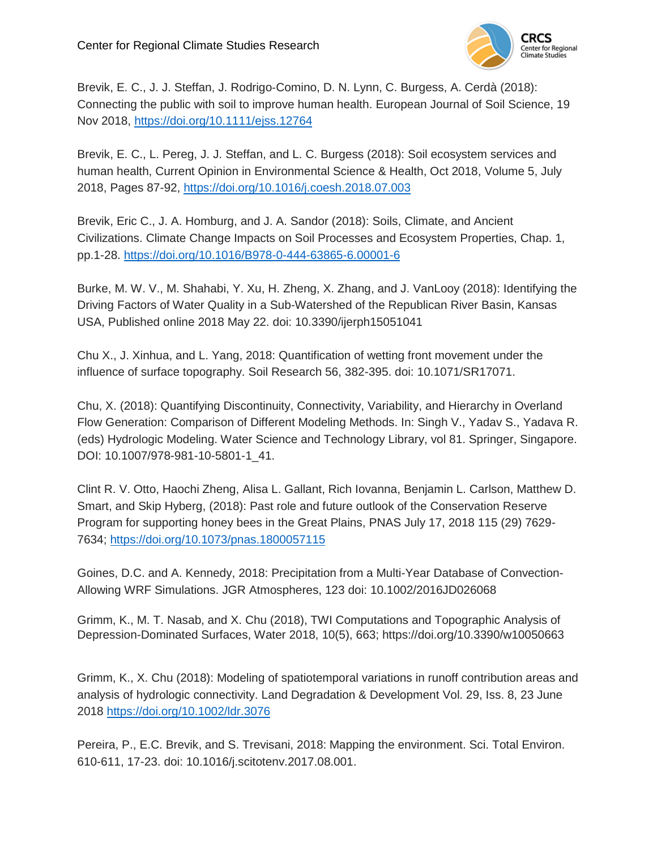

Brevik, E. C., J. J. Steffan, J. Rodrigo‐Comino, D. N. Lynn, C. Burgess, A. Cerdà (2018): Connecting the public with soil to improve human health. European Journal of Soil Science, 19 Nov 2018,<https://doi.org/10.1111/ejss.12764>

Brevik, E. C., L. Pereg, J. J. Steffan, and L. C. Burgess (2018): Soil ecosystem services and human health, Current Opinion in Environmental Science & Health, Oct 2018, Volume 5, July 2018, Pages 87-92,<https://doi.org/10.1016/j.coesh.2018.07.003>

Brevik, Eric C., J. A. Homburg, and J. A. Sandor (2018): Soils, Climate, and Ancient Civilizations. Climate Change Impacts on Soil Processes and Ecosystem Properties, Chap. 1, pp.1-28.<https://doi.org/10.1016/B978-0-444-63865-6.00001-6>

Burke, M. W. V., M. Shahabi, Y. Xu, H. Zheng, X. Zhang, and J. VanLooy (2018): Identifying the Driving Factors of Water Quality in a Sub-Watershed of the Republican River Basin, Kansas USA, Published online 2018 May 22. doi: 10.3390/ijerph15051041

Chu X., J. Xinhua, and L. Yang, 2018: Quantification of wetting front movement under the influence of surface topography. Soil Research 56, 382-395. doi: 10.1071/SR17071.

Chu, X. (2018): Quantifying Discontinuity, Connectivity, Variability, and Hierarchy in Overland Flow Generation: Comparison of Different Modeling Methods. In: Singh V., Yadav S., Yadava R. (eds) Hydrologic Modeling. Water Science and Technology Library, vol 81. Springer, Singapore. DOI: 10.1007/978-981-10-5801-1\_41.

Clint R. V. Otto, Haochi Zheng, Alisa L. Gallant, Rich Iovanna, Benjamin L. Carlson, Matthew D. Smart, and Skip Hyberg, (2018): Past role and future outlook of the Conservation Reserve Program for supporting honey bees in the Great Plains, PNAS July 17, 2018 115 (29) 7629- 7634;<https://doi.org/10.1073/pnas.1800057115>

Goines, D.C. and A. Kennedy, 2018: Precipitation from a Multi-Year Database of Convection-Allowing WRF Simulations. JGR Atmospheres, 123 doi: 10.1002/2016JD026068

Grimm, K., M. T. Nasab, and X. Chu (2018), TWI Computations and Topographic Analysis of Depression-Dominated Surfaces, Water 2018, 10(5), 663; https://doi.org/10.3390/w10050663

Grimm, K., X. Chu (2018): Modeling of spatiotemporal variations in runoff contribution areas and analysis of hydrologic connectivity. Land Degradation & Development Vol. 29, Iss. 8, 23 June 2018<https://doi.org/10.1002/ldr.3076>

Pereira, P., E.C. Brevik, and S. Trevisani, 2018: Mapping the environment. Sci. Total Environ. 610-611, 17-23. doi: 10.1016/j.scitotenv.2017.08.001.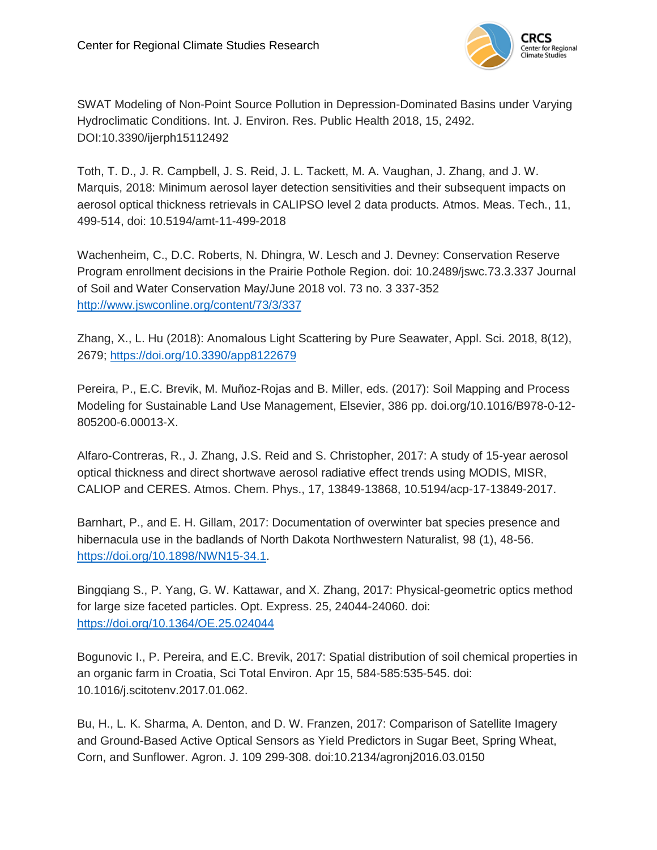

SWAT Modeling of Non-Point Source Pollution in Depression-Dominated Basins under Varying Hydroclimatic Conditions. Int. J. Environ. Res. Public Health 2018, 15, 2492. DOI:10.3390/ijerph15112492

Toth, T. D., J. R. Campbell, J. S. Reid, J. L. Tackett, M. A. Vaughan, J. Zhang, and J. W. Marquis, 2018: Minimum aerosol layer detection sensitivities and their subsequent impacts on aerosol optical thickness retrievals in CALIPSO level 2 data products. Atmos. Meas. Tech., 11, 499-514, doi: 10.5194/amt-11-499-2018

Wachenheim, C., D.C. Roberts, N. Dhingra, W. Lesch and J. Devney: Conservation Reserve Program enrollment decisions in the Prairie Pothole Region. doi: 10.2489/jswc.73.3.337 Journal of Soil and Water Conservation May/June 2018 vol. 73 no. 3 337-352 <http://www.jswconline.org/content/73/3/337>

Zhang, X., L. Hu (2018): Anomalous Light Scattering by Pure Seawater, Appl. Sci. 2018, 8(12), 2679;<https://doi.org/10.3390/app8122679>

Pereira, P., E.C. Brevik, M. Muñoz-Rojas and B. Miller, eds. (2017): Soil Mapping and Process Modeling for Sustainable Land Use Management, Elsevier, 386 pp. doi.org/10.1016/B978-0-12- 805200-6.00013-X.

Alfaro-Contreras, R., J. Zhang, J.S. Reid and S. Christopher, 2017: A study of 15-year aerosol optical thickness and direct shortwave aerosol radiative effect trends using MODIS, MISR, CALIOP and CERES. Atmos. Chem. Phys., 17, 13849-13868, 10.5194/acp-17-13849-2017.

Barnhart, P., and E. H. Gillam, 2017: Documentation of overwinter bat species presence and hibernacula use in the badlands of North Dakota Northwestern Naturalist, 98 (1), 48-56. [https://doi.org/10.1898/NWN15-34.1.](https://doi.org/10.1898/NWN15-34.1)

Bingqiang S., P. Yang, G. W. Kattawar, and X. Zhang, 2017: Physical-geometric optics method for large size faceted particles. Opt. Express. 25, 24044-24060. doi: <https://doi.org/10.1364/OE.25.024044>

Bogunovic I., P. Pereira, and E.C. Brevik, 2017: Spatial distribution of soil chemical properties in an organic farm in Croatia, Sci Total Environ. Apr 15, 584-585:535-545. doi: 10.1016/j.scitotenv.2017.01.062.

Bu, H., L. K. Sharma, A. Denton, and D. W. Franzen, 2017: Comparison of Satellite Imagery and Ground-Based Active Optical Sensors as Yield Predictors in Sugar Beet, Spring Wheat, Corn, and Sunflower. Agron. J. 109 299-308. doi:10.2134/agronj2016.03.0150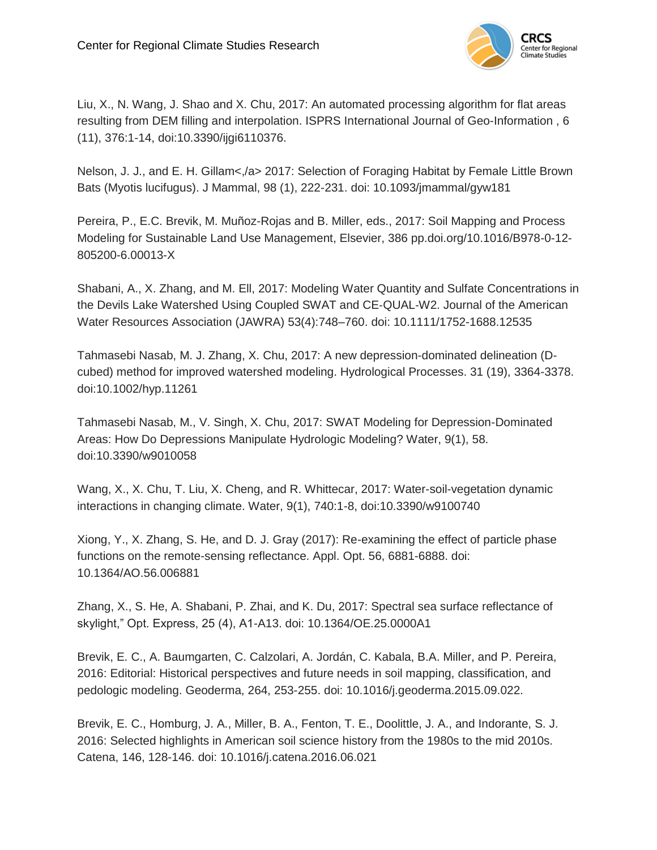

Liu, X., N. Wang, J. Shao and X. Chu, 2017: An automated processing algorithm for flat areas resulting from DEM filling and interpolation. ISPRS International Journal of Geo-Information , 6 (11), 376:1-14, doi:10.3390/ijgi6110376.

Nelson, J. J., and E. H. Gillam<,/a> 2017: Selection of Foraging Habitat by Female Little Brown Bats (Myotis lucifugus). J Mammal, 98 (1), 222-231. doi: 10.1093/jmammal/gyw181

Pereira, P., E.C. Brevik, M. Muñoz-Rojas and B. Miller, eds., 2017: Soil Mapping and Process Modeling for Sustainable Land Use Management, Elsevier, 386 pp.doi.org/10.1016/B978-0-12- 805200-6.00013-X

Shabani, A., X. Zhang, and M. Ell, 2017: Modeling Water Quantity and Sulfate Concentrations in the Devils Lake Watershed Using Coupled SWAT and CE‐QUAL‐W2. Journal of the American Water Resources Association (JAWRA) 53(4):748–760. doi: 10.1111/1752-1688.12535

Tahmasebi Nasab, M. J. Zhang, X. Chu, 2017: A new depression-dominated delineation (Dcubed) method for improved watershed modeling. Hydrological Processes. 31 (19), 3364-3378. doi:10.1002/hyp.11261

Tahmasebi Nasab, M., V. Singh, X. Chu, 2017: SWAT Modeling for Depression-Dominated Areas: How Do Depressions Manipulate Hydrologic Modeling? Water, 9(1), 58. doi:10.3390/w9010058

Wang, X., X. Chu, T. Liu, X. Cheng, and R. Whittecar, 2017: Water-soil-vegetation dynamic interactions in changing climate. Water, 9(1), 740:1-8, doi:10.3390/w9100740

Xiong, Y., X. Zhang, S. He, and D. J. Gray (2017): Re-examining the effect of particle phase functions on the remote-sensing reflectance. Appl. Opt. 56, 6881-6888. doi: 10.1364/AO.56.006881

Zhang, X., S. He, A. Shabani, P. Zhai, and K. Du, 2017: Spectral sea surface reflectance of skylight," Opt. Express, 25 (4), A1-A13. doi: 10.1364/OE.25.0000A1

Brevik, E. C., A. Baumgarten, C. Calzolari, A. Jordán, C. Kabala, B.A. Miller, and P. Pereira, 2016: Editorial: Historical perspectives and future needs in soil mapping, classification, and pedologic modeling. Geoderma, 264, 253-255. doi: 10.1016/j.geoderma.2015.09.022.

Brevik, E. C., Homburg, J. A., Miller, B. A., Fenton, T. E., Doolittle, J. A., and Indorante, S. J. 2016: Selected highlights in American soil science history from the 1980s to the mid 2010s. Catena, 146, 128-146. doi: 10.1016/j.catena.2016.06.021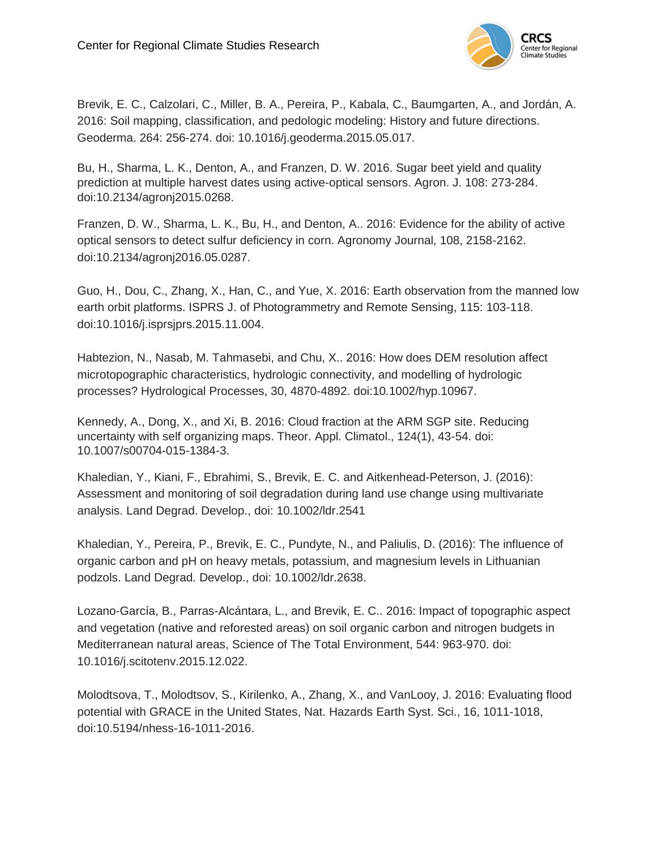

Brevik, E. C., Calzolari, C., Miller, B. A., Pereira, P., Kabala, C., Baumgarten, A., and Jordán, A. 2016: Soil mapping, classification, and pedologic modeling: History and future directions. Geoderma. 264: 256-274. doi: 10.1016/j.geoderma.2015.05.017.

Bu, H., Sharma, L. K., Denton, A., and Franzen, D. W. 2016. Sugar beet yield and quality prediction at multiple harvest dates using active-optical sensors. Agron. J. 108: 273-284. doi:10.2134/agronj2015.0268.

Franzen, D. W., Sharma, L. K., Bu, H., and Denton, A.. 2016: Evidence for the ability of active optical sensors to detect sulfur deficiency in corn. Agronomy Journal, 108, 2158-2162. doi:10.2134/agronj2016.05.0287.

Guo, H., Dou, C., Zhang, X., Han, C., and Yue, X. 2016: Earth observation from the manned low earth orbit platforms. ISPRS J. of Photogrammetry and Remote Sensing, 115: 103-118. doi:10.1016/j.isprsjprs.2015.11.004.

Habtezion, N., Nasab, M. Tahmasebi, and Chu, X.. 2016: How does DEM resolution affect microtopographic characteristics, hydrologic connectivity, and modelling of hydrologic processes? Hydrological Processes, 30, 4870-4892. doi:10.1002/hyp.10967.

Kennedy, A., Dong, X., and Xi, B. 2016: Cloud fraction at the ARM SGP site. Reducing uncertainty with self organizing maps. Theor. Appl. Climatol., 124(1), 43-54. doi: 10.1007/s00704-015-1384-3.

Khaledian, Y., Kiani, F., Ebrahimi, S., Brevik, E. C. and Aitkenhead-Peterson, J. (2016): Assessment and monitoring of soil degradation during land use change using multivariate analysis. Land Degrad. Develop., doi: 10.1002/ldr.2541

Khaledian, Y., Pereira, P., Brevik, E. C., Pundyte, N., and Paliulis, D. (2016): The influence of organic carbon and pH on heavy metals, potassium, and magnesium levels in Lithuanian podzols. Land Degrad. Develop., doi: 10.1002/ldr.2638.

Lozano-García, B., Parras-Alcántara, L., and Brevik, E. C.. 2016: Impact of topographic aspect and vegetation (native and reforested areas) on soil organic carbon and nitrogen budgets in Mediterranean natural areas, Science of The Total Environment, 544: 963-970. doi: 10.1016/j.scitotenv.2015.12.022.

Molodtsova, T., Molodtsov, S., Kirilenko, A., Zhang, X., and VanLooy, J. 2016: Evaluating flood potential with GRACE in the United States, Nat. Hazards Earth Syst. Sci., 16, 1011-1018, doi:10.5194/nhess-16-1011-2016.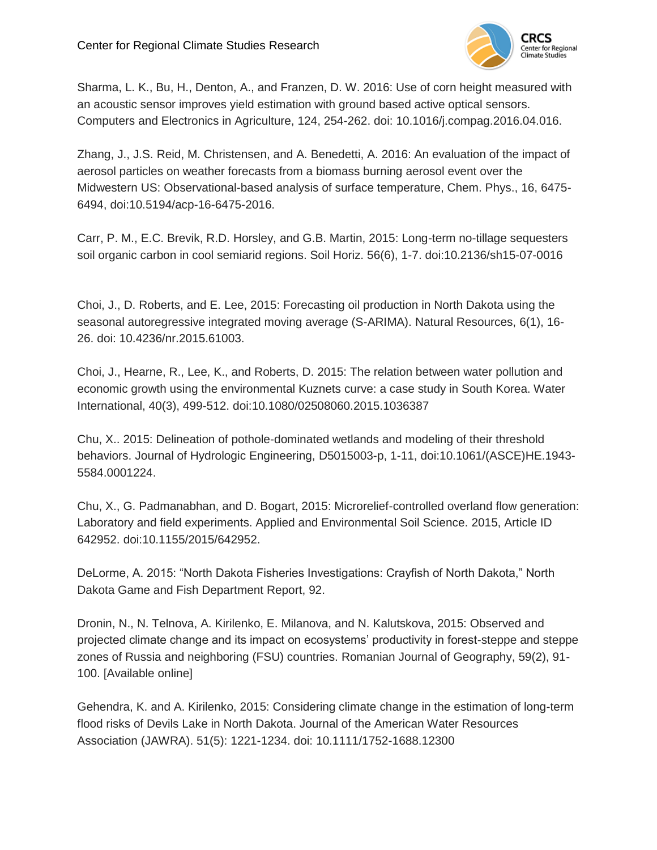

Sharma, L. K., Bu, H., Denton, A., and Franzen, D. W. 2016: Use of corn height measured with an acoustic sensor improves yield estimation with ground based active optical sensors. Computers and Electronics in Agriculture, 124, 254-262. doi: 10.1016/j.compag.2016.04.016.

Zhang, J., J.S. Reid, M. Christensen, and A. Benedetti, A. 2016: An evaluation of the impact of aerosol particles on weather forecasts from a biomass burning aerosol event over the Midwestern US: Observational-based analysis of surface temperature, Chem. Phys., 16, 6475- 6494, doi:10.5194/acp-16-6475-2016.

Carr, P. M., E.C. Brevik, R.D. Horsley, and G.B. Martin, 2015: Long-term no-tillage sequesters soil organic carbon in cool semiarid regions. Soil Horiz. 56(6), 1-7. doi:10.2136/sh15-07-0016

Choi, J., D. Roberts, and E. Lee, 2015: Forecasting oil production in North Dakota using the seasonal autoregressive integrated moving average (S-ARIMA). Natural Resources, 6(1), 16- 26. doi: 10.4236/nr.2015.61003.

Choi, J., Hearne, R., Lee, K., and Roberts, D. 2015: The relation between water pollution and economic growth using the environmental Kuznets curve: a case study in South Korea. Water International, 40(3), 499-512. doi:10.1080/02508060.2015.1036387

Chu, X.. 2015: Delineation of pothole-dominated wetlands and modeling of their threshold behaviors. Journal of Hydrologic Engineering, D5015003-p, 1-11, doi:10.1061/(ASCE)HE.1943- 5584.0001224.

Chu, X., G. Padmanabhan, and D. Bogart, 2015: Microrelief-controlled overland flow generation: Laboratory and field experiments. Applied and Environmental Soil Science. 2015, Article ID 642952. doi:10.1155/2015/642952.

DeLorme, A. 2015: "North Dakota Fisheries Investigations: Crayfish of North Dakota," North Dakota Game and Fish Department Report, 92.

Dronin, N., N. Telnova, A. Kirilenko, E. Milanova, and N. Kalutskova, 2015: Observed and projected climate change and its impact on ecosystems' productivity in forest-steppe and steppe zones of Russia and neighboring (FSU) countries. Romanian Journal of Geography, 59(2), 91- 100. [Available online]

Gehendra, K. and A. Kirilenko, 2015: Considering climate change in the estimation of long-term flood risks of Devils Lake in North Dakota. Journal of the American Water Resources Association (JAWRA). 51(5): 1221-1234. doi: 10.1111/1752-1688.12300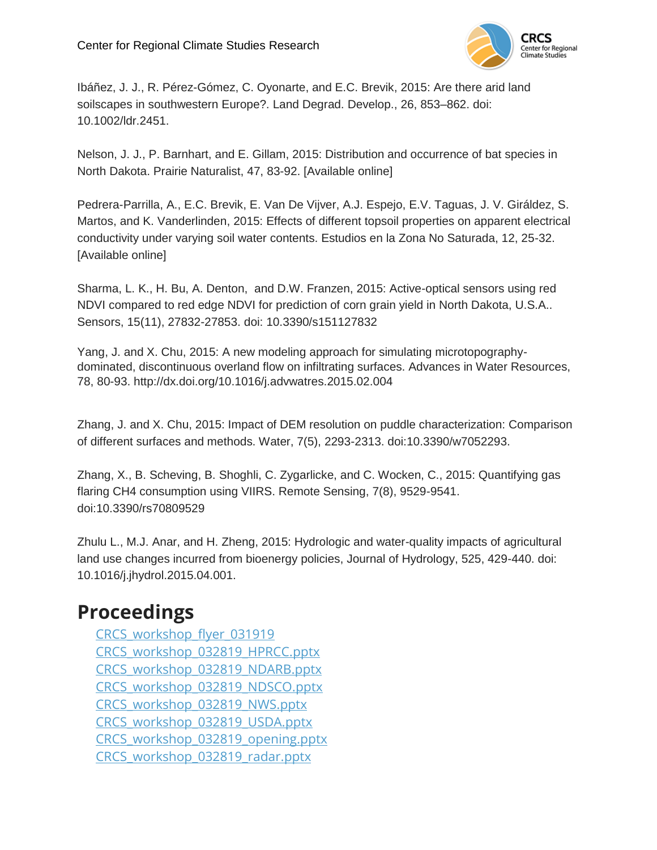

Ibáñez, J. J., R. Pérez-Gómez, C. Oyonarte, and E.C. Brevik, 2015: Are there arid land soilscapes in southwestern Europe?. Land Degrad. Develop., 26, 853–862. doi: 10.1002/ldr.2451.

Nelson, J. J., P. Barnhart, and E. Gillam, 2015: Distribution and occurrence of bat species in North Dakota. Prairie Naturalist, 47, 83-92. [Available online]

Pedrera-Parrilla, A., E.C. Brevik, E. Van De Vijver, A.J. Espejo, E.V. Taguas, J. V. Giráldez, S. Martos, and K. Vanderlinden, 2015: Effects of different topsoil properties on apparent electrical conductivity under varying soil water contents. Estudios en la Zona No Saturada, 12, 25-32. [Available online]

Sharma, L. K., H. Bu, A. Denton, and D.W. Franzen, 2015: Active-optical sensors using red NDVI compared to red edge NDVI for prediction of corn grain yield in North Dakota, U.S.A.. Sensors, 15(11), 27832-27853. doi: 10.3390/s151127832

Yang, J. and X. Chu, 2015: A new modeling approach for simulating microtopographydominated, discontinuous overland flow on infiltrating surfaces. Advances in Water Resources, 78, 80-93. http://dx.doi.org/10.1016/j.advwatres.2015.02.004

Zhang, J. and X. Chu, 2015: Impact of DEM resolution on puddle characterization: Comparison of different surfaces and methods. Water, 7(5), 2293-2313. doi:10.3390/w7052293.

Zhang, X., B. Scheving, B. Shoghli, C. Zygarlicke, and C. Wocken, C., 2015: Quantifying gas flaring CH4 consumption using VIIRS. Remote Sensing, 7(8), 9529-9541. doi:10.3390/rs70809529

Zhulu L., M.J. Anar, and H. Zheng, 2015: Hydrologic and water-quality impacts of agricultural land use changes incurred from bioenergy policies, Journal of Hydrology, 525, 429-440. doi: 10.1016/j.jhydrol.2015.04.001.

### **Proceedings**

CRCS workshop flyer 031919 [CRCS\\_workshop\\_032819\\_HPRCC.pptx](http://kennedy.atmos.und.edu/CRCS/2019_Workshop/CRCS_workshop_032819_HPRCC.pptx) [CRCS\\_workshop\\_032819\\_NDARB.pptx](http://kennedy.atmos.und.edu/CRCS/2019_Workshop/CRCS_workshop_032819_NDARB.pptx) [CRCS\\_workshop\\_032819\\_NDSCO.pptx](http://kennedy.atmos.und.edu/CRCS/2019_Workshop/CRCS_workshop_032819_NDSCO.pptx) [CRCS\\_workshop\\_032819\\_NWS.pptx](http://kennedy.atmos.und.edu/CRCS/2019_Workshop/CRCS_workshop_032819_NWS.pptx) [CRCS\\_workshop\\_032819\\_USDA.pptx](http://kennedy.atmos.und.edu/CRCS/2019_Workshop/CRCS_workshop_032819_USDA.pptx) [CRCS\\_workshop\\_032819\\_opening.pptx](http://kennedy.atmos.und.edu/CRCS/2019_Workshop/CRCS_workshop_032819_opening.pptx) [CRCS\\_workshop\\_032819\\_radar.pptx](http://kennedy.atmos.und.edu/CRCS/2019_Workshop/CRCS_workshop_032819_radar.pptx)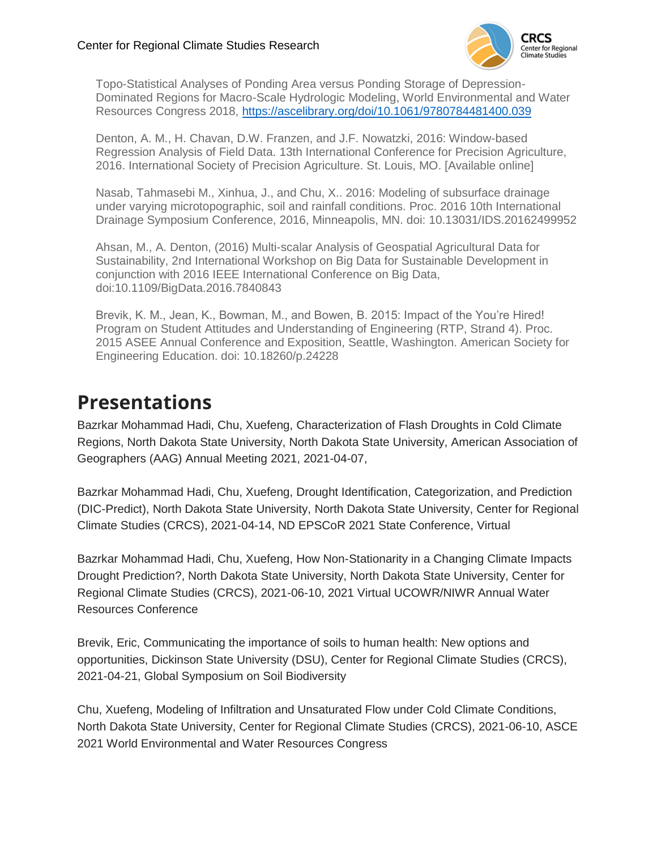

Topo-Statistical Analyses of Ponding Area versus Ponding Storage of Depression-Dominated Regions for Macro-Scale Hydrologic Modeling, World Environmental and Water Resources Congress 2018,<https://ascelibrary.org/doi/10.1061/9780784481400.039>

Denton, A. M., H. Chavan, D.W. Franzen, and J.F. Nowatzki, 2016: Window-based Regression Analysis of Field Data. 13th International Conference for Precision Agriculture, 2016. International Society of Precision Agriculture. St. Louis, MO. [Available online]

Nasab, Tahmasebi M., Xinhua, J., and Chu, X.. 2016: Modeling of subsurface drainage under varying microtopographic, soil and rainfall conditions. Proc. 2016 10th International Drainage Symposium Conference, 2016, Minneapolis, MN. doi: 10.13031/IDS.20162499952

Ahsan, M., A. Denton, (2016) Multi-scalar Analysis of Geospatial Agricultural Data for Sustainability, 2nd International Workshop on Big Data for Sustainable Development in conjunction with 2016 IEEE International Conference on Big Data, doi:10.1109/BigData.2016.7840843

Brevik, K. M., Jean, K., Bowman, M., and Bowen, B. 2015: Impact of the You're Hired! Program on Student Attitudes and Understanding of Engineering (RTP, Strand 4). Proc. 2015 ASEE Annual Conference and Exposition, Seattle, Washington. American Society for Engineering Education. doi: 10.18260/p.24228

### **Presentations**

Bazrkar Mohammad Hadi, Chu, Xuefeng, Characterization of Flash Droughts in Cold Climate Regions, North Dakota State University, North Dakota State University, American Association of Geographers (AAG) Annual Meeting 2021, 2021-04-07,

Bazrkar Mohammad Hadi, Chu, Xuefeng, Drought Identification, Categorization, and Prediction (DIC-Predict), North Dakota State University, North Dakota State University, Center for Regional Climate Studies (CRCS), 2021-04-14, ND EPSCoR 2021 State Conference, Virtual

Bazrkar Mohammad Hadi, Chu, Xuefeng, How Non-Stationarity in a Changing Climate Impacts Drought Prediction?, North Dakota State University, North Dakota State University, Center for Regional Climate Studies (CRCS), 2021-06-10, 2021 Virtual UCOWR/NIWR Annual Water Resources Conference

Brevik, Eric, Communicating the importance of soils to human health: New options and opportunities, Dickinson State University (DSU), Center for Regional Climate Studies (CRCS), 2021-04-21, Global Symposium on Soil Biodiversity

Chu, Xuefeng, Modeling of Infiltration and Unsaturated Flow under Cold Climate Conditions, North Dakota State University, Center for Regional Climate Studies (CRCS), 2021-06-10, ASCE 2021 World Environmental and Water Resources Congress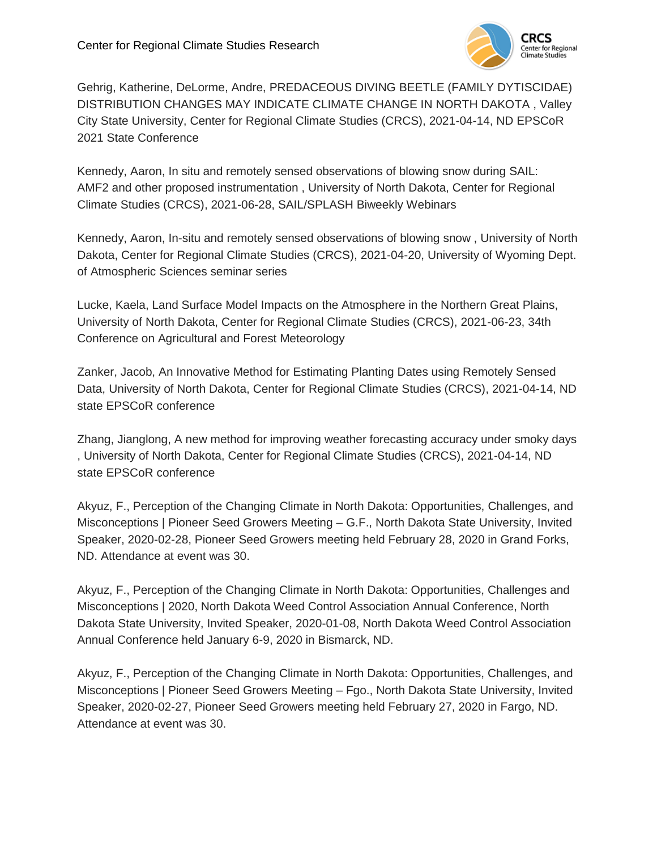

Gehrig, Katherine, DeLorme, Andre, PREDACEOUS DIVING BEETLE (FAMILY DYTISCIDAE) DISTRIBUTION CHANGES MAY INDICATE CLIMATE CHANGE IN NORTH DAKOTA , Valley City State University, Center for Regional Climate Studies (CRCS), 2021-04-14, ND EPSCoR 2021 State Conference

Kennedy, Aaron, In situ and remotely sensed observations of blowing snow during SAIL: AMF2 and other proposed instrumentation , University of North Dakota, Center for Regional Climate Studies (CRCS), 2021-06-28, SAIL/SPLASH Biweekly Webinars

Kennedy, Aaron, In-situ and remotely sensed observations of blowing snow , University of North Dakota, Center for Regional Climate Studies (CRCS), 2021-04-20, University of Wyoming Dept. of Atmospheric Sciences seminar series

Lucke, Kaela, Land Surface Model Impacts on the Atmosphere in the Northern Great Plains, University of North Dakota, Center for Regional Climate Studies (CRCS), 2021-06-23, 34th Conference on Agricultural and Forest Meteorology

Zanker, Jacob, An Innovative Method for Estimating Planting Dates using Remotely Sensed Data, University of North Dakota, Center for Regional Climate Studies (CRCS), 2021-04-14, ND state EPSCoR conference

Zhang, Jianglong, A new method for improving weather forecasting accuracy under smoky days , University of North Dakota, Center for Regional Climate Studies (CRCS), 2021-04-14, ND state EPSCoR conference

Akyuz, F., Perception of the Changing Climate in North Dakota: Opportunities, Challenges, and Misconceptions | Pioneer Seed Growers Meeting – G.F., North Dakota State University, Invited Speaker, 2020-02-28, Pioneer Seed Growers meeting held February 28, 2020 in Grand Forks, ND. Attendance at event was 30.

Akyuz, F., Perception of the Changing Climate in North Dakota: Opportunities, Challenges and Misconceptions | 2020, North Dakota Weed Control Association Annual Conference, North Dakota State University, Invited Speaker, 2020-01-08, North Dakota Weed Control Association Annual Conference held January 6-9, 2020 in Bismarck, ND.

Akyuz, F., Perception of the Changing Climate in North Dakota: Opportunities, Challenges, and Misconceptions | Pioneer Seed Growers Meeting – Fgo., North Dakota State University, Invited Speaker, 2020-02-27, Pioneer Seed Growers meeting held February 27, 2020 in Fargo, ND. Attendance at event was 30.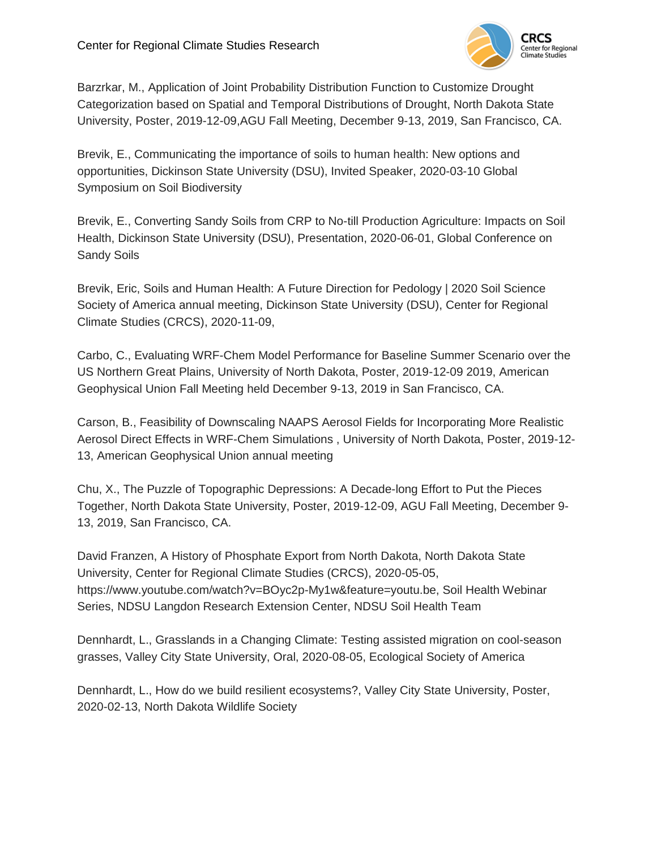

Barzrkar, M., Application of Joint Probability Distribution Function to Customize Drought Categorization based on Spatial and Temporal Distributions of Drought, North Dakota State University, Poster, 2019-12-09,AGU Fall Meeting, December 9-13, 2019, San Francisco, CA.

Brevik, E., Communicating the importance of soils to human health: New options and opportunities, Dickinson State University (DSU), Invited Speaker, 2020-03-10 Global Symposium on Soil Biodiversity

Brevik, E., Converting Sandy Soils from CRP to No-till Production Agriculture: Impacts on Soil Health, Dickinson State University (DSU), Presentation, 2020-06-01, Global Conference on Sandy Soils

Brevik, Eric, Soils and Human Health: A Future Direction for Pedology | 2020 Soil Science Society of America annual meeting, Dickinson State University (DSU), Center for Regional Climate Studies (CRCS), 2020-11-09,

Carbo, C., Evaluating WRF-Chem Model Performance for Baseline Summer Scenario over the US Northern Great Plains, University of North Dakota, Poster, 2019-12-09 2019, American Geophysical Union Fall Meeting held December 9-13, 2019 in San Francisco, CA.

Carson, B., Feasibility of Downscaling NAAPS Aerosol Fields for Incorporating More Realistic Aerosol Direct Effects in WRF-Chem Simulations , University of North Dakota, Poster, 2019-12- 13, American Geophysical Union annual meeting

Chu, X., The Puzzle of Topographic Depressions: A Decade-long Effort to Put the Pieces Together, North Dakota State University, Poster, 2019-12-09, AGU Fall Meeting, December 9- 13, 2019, San Francisco, CA.

David Franzen, A History of Phosphate Export from North Dakota, North Dakota State University, Center for Regional Climate Studies (CRCS), 2020-05-05, https://www.youtube.com/watch?v=BOyc2p-My1w&feature=youtu.be, Soil Health Webinar Series, NDSU Langdon Research Extension Center, NDSU Soil Health Team

Dennhardt, L., Grasslands in a Changing Climate: Testing assisted migration on cool-season grasses, Valley City State University, Oral, 2020-08-05, Ecological Society of America

Dennhardt, L., How do we build resilient ecosystems?, Valley City State University, Poster, 2020-02-13, North Dakota Wildlife Society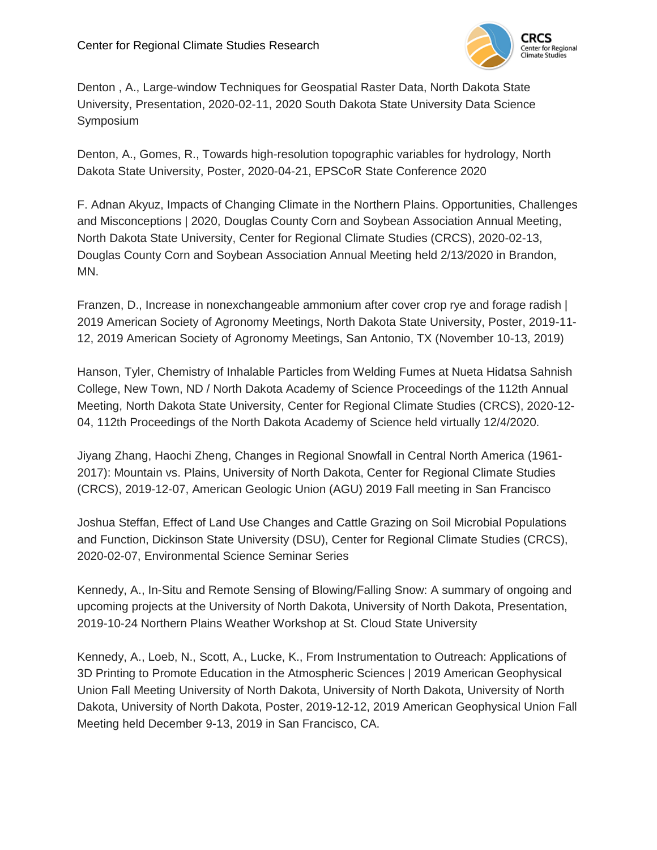

Denton , A., Large-window Techniques for Geospatial Raster Data, North Dakota State University, Presentation, 2020-02-11, 2020 South Dakota State University Data Science Symposium

Denton, A., Gomes, R., Towards high-resolution topographic variables for hydrology, North Dakota State University, Poster, 2020-04-21, EPSCoR State Conference 2020

F. Adnan Akyuz, Impacts of Changing Climate in the Northern Plains. Opportunities, Challenges and Misconceptions | 2020, Douglas County Corn and Soybean Association Annual Meeting, North Dakota State University, Center for Regional Climate Studies (CRCS), 2020-02-13, Douglas County Corn and Soybean Association Annual Meeting held 2/13/2020 in Brandon, MN.

Franzen, D., Increase in nonexchangeable ammonium after cover crop rye and forage radish | 2019 American Society of Agronomy Meetings, North Dakota State University, Poster, 2019-11- 12, 2019 American Society of Agronomy Meetings, San Antonio, TX (November 10-13, 2019)

Hanson, Tyler, Chemistry of Inhalable Particles from Welding Fumes at Nueta Hidatsa Sahnish College, New Town, ND / North Dakota Academy of Science Proceedings of the 112th Annual Meeting, North Dakota State University, Center for Regional Climate Studies (CRCS), 2020-12- 04, 112th Proceedings of the North Dakota Academy of Science held virtually 12/4/2020.

Jiyang Zhang, Haochi Zheng, Changes in Regional Snowfall in Central North America (1961- 2017): Mountain vs. Plains, University of North Dakota, Center for Regional Climate Studies (CRCS), 2019-12-07, American Geologic Union (AGU) 2019 Fall meeting in San Francisco

Joshua Steffan, Effect of Land Use Changes and Cattle Grazing on Soil Microbial Populations and Function, Dickinson State University (DSU), Center for Regional Climate Studies (CRCS), 2020-02-07, Environmental Science Seminar Series

Kennedy, A., In-Situ and Remote Sensing of Blowing/Falling Snow: A summary of ongoing and upcoming projects at the University of North Dakota, University of North Dakota, Presentation, 2019-10-24 Northern Plains Weather Workshop at St. Cloud State University

Kennedy, A., Loeb, N., Scott, A., Lucke, K., From Instrumentation to Outreach: Applications of 3D Printing to Promote Education in the Atmospheric Sciences | 2019 American Geophysical Union Fall Meeting University of North Dakota, University of North Dakota, University of North Dakota, University of North Dakota, Poster, 2019-12-12, 2019 American Geophysical Union Fall Meeting held December 9-13, 2019 in San Francisco, CA.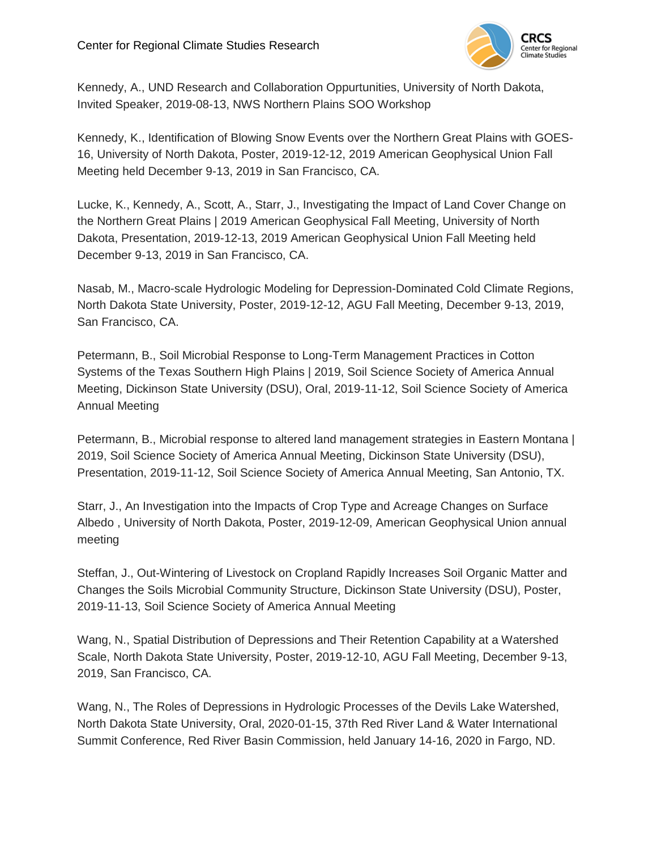

Kennedy, A., UND Research and Collaboration Oppurtunities, University of North Dakota, Invited Speaker, 2019-08-13, NWS Northern Plains SOO Workshop

Kennedy, K., Identification of Blowing Snow Events over the Northern Great Plains with GOES-16, University of North Dakota, Poster, 2019-12-12, 2019 American Geophysical Union Fall Meeting held December 9-13, 2019 in San Francisco, CA.

Lucke, K., Kennedy, A., Scott, A., Starr, J., Investigating the Impact of Land Cover Change on the Northern Great Plains | 2019 American Geophysical Fall Meeting, University of North Dakota, Presentation, 2019-12-13, 2019 American Geophysical Union Fall Meeting held December 9-13, 2019 in San Francisco, CA.

Nasab, M., Macro-scale Hydrologic Modeling for Depression-Dominated Cold Climate Regions, North Dakota State University, Poster, 2019-12-12, AGU Fall Meeting, December 9-13, 2019, San Francisco, CA.

Petermann, B., Soil Microbial Response to Long-Term Management Practices in Cotton Systems of the Texas Southern High Plains | 2019, Soil Science Society of America Annual Meeting, Dickinson State University (DSU), Oral, 2019-11-12, Soil Science Society of America Annual Meeting

Petermann, B., Microbial response to altered land management strategies in Eastern Montana | 2019, Soil Science Society of America Annual Meeting, Dickinson State University (DSU), Presentation, 2019-11-12, Soil Science Society of America Annual Meeting, San Antonio, TX.

Starr, J., An Investigation into the Impacts of Crop Type and Acreage Changes on Surface Albedo , University of North Dakota, Poster, 2019-12-09, American Geophysical Union annual meeting

Steffan, J., Out-Wintering of Livestock on Cropland Rapidly Increases Soil Organic Matter and Changes the Soils Microbial Community Structure, Dickinson State University (DSU), Poster, 2019-11-13, Soil Science Society of America Annual Meeting

Wang, N., Spatial Distribution of Depressions and Their Retention Capability at a Watershed Scale, North Dakota State University, Poster, 2019-12-10, AGU Fall Meeting, December 9-13, 2019, San Francisco, CA.

Wang, N., The Roles of Depressions in Hydrologic Processes of the Devils Lake Watershed, North Dakota State University, Oral, 2020-01-15, 37th Red River Land & Water International Summit Conference, Red River Basin Commission, held January 14-16, 2020 in Fargo, ND.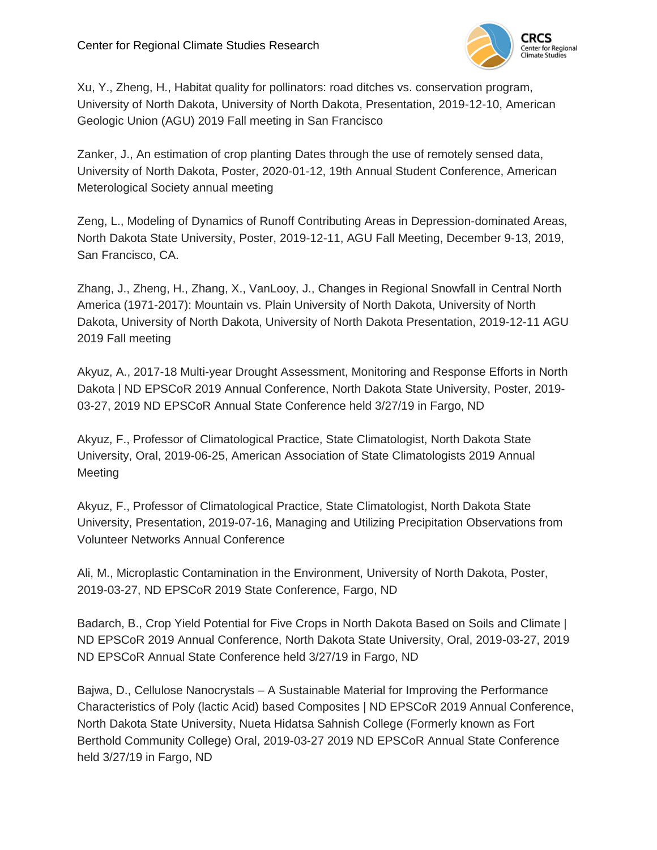

Xu, Y., Zheng, H., Habitat quality for pollinators: road ditches vs. conservation program, University of North Dakota, University of North Dakota, Presentation, 2019-12-10, American Geologic Union (AGU) 2019 Fall meeting in San Francisco

Zanker, J., An estimation of crop planting Dates through the use of remotely sensed data, University of North Dakota, Poster, 2020-01-12, 19th Annual Student Conference, American Meterological Society annual meeting

Zeng, L., Modeling of Dynamics of Runoff Contributing Areas in Depression-dominated Areas, North Dakota State University, Poster, 2019-12-11, AGU Fall Meeting, December 9-13, 2019, San Francisco, CA.

Zhang, J., Zheng, H., Zhang, X., VanLooy, J., Changes in Regional Snowfall in Central North America (1971-2017): Mountain vs. Plain University of North Dakota, University of North Dakota, University of North Dakota, University of North Dakota Presentation, 2019-12-11 AGU 2019 Fall meeting

Akyuz, A., 2017-18 Multi-year Drought Assessment, Monitoring and Response Efforts in North Dakota | ND EPSCoR 2019 Annual Conference, North Dakota State University, Poster, 2019- 03-27, 2019 ND EPSCoR Annual State Conference held 3/27/19 in Fargo, ND

Akyuz, F., Professor of Climatological Practice, State Climatologist, North Dakota State University, Oral, 2019-06-25, American Association of State Climatologists 2019 Annual Meeting

Akyuz, F., Professor of Climatological Practice, State Climatologist, North Dakota State University, Presentation, 2019-07-16, Managing and Utilizing Precipitation Observations from Volunteer Networks Annual Conference

Ali, M., Microplastic Contamination in the Environment, University of North Dakota, Poster, 2019-03-27, ND EPSCoR 2019 State Conference, Fargo, ND

Badarch, B., Crop Yield Potential for Five Crops in North Dakota Based on Soils and Climate | ND EPSCoR 2019 Annual Conference, North Dakota State University, Oral, 2019-03-27, 2019 ND EPSCoR Annual State Conference held 3/27/19 in Fargo, ND

Bajwa, D., Cellulose Nanocrystals – A Sustainable Material for Improving the Performance Characteristics of Poly (lactic Acid) based Composites | ND EPSCoR 2019 Annual Conference, North Dakota State University, Nueta Hidatsa Sahnish College (Formerly known as Fort Berthold Community College) Oral, 2019-03-27 2019 ND EPSCoR Annual State Conference held 3/27/19 in Fargo, ND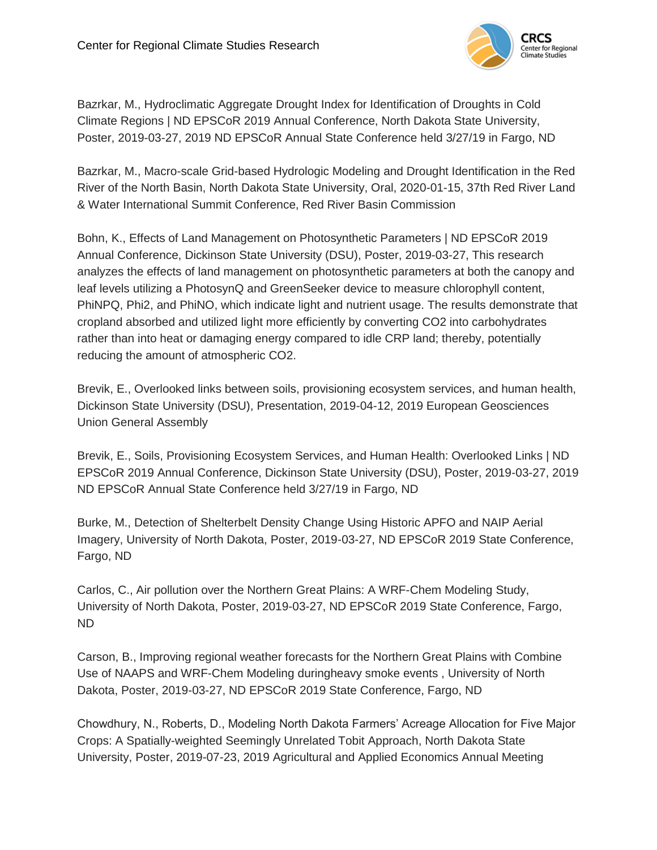

Bazrkar, M., Hydroclimatic Aggregate Drought Index for Identification of Droughts in Cold Climate Regions | ND EPSCoR 2019 Annual Conference, North Dakota State University, Poster, 2019-03-27, 2019 ND EPSCoR Annual State Conference held 3/27/19 in Fargo, ND

Bazrkar, M., Macro-scale Grid-based Hydrologic Modeling and Drought Identification in the Red River of the North Basin, North Dakota State University, Oral, 2020-01-15, 37th Red River Land & Water International Summit Conference, Red River Basin Commission

Bohn, K., Effects of Land Management on Photosynthetic Parameters | ND EPSCoR 2019 Annual Conference, Dickinson State University (DSU), Poster, 2019-03-27, This research analyzes the effects of land management on photosynthetic parameters at both the canopy and leaf levels utilizing a PhotosynQ and GreenSeeker device to measure chlorophyll content, PhiNPQ, Phi2, and PhiNO, which indicate light and nutrient usage. The results demonstrate that cropland absorbed and utilized light more efficiently by converting CO2 into carbohydrates rather than into heat or damaging energy compared to idle CRP land; thereby, potentially reducing the amount of atmospheric CO2.

Brevik, E., Overlooked links between soils, provisioning ecosystem services, and human health, Dickinson State University (DSU), Presentation, 2019-04-12, 2019 European Geosciences Union General Assembly

Brevik, E., Soils, Provisioning Ecosystem Services, and Human Health: Overlooked Links | ND EPSCoR 2019 Annual Conference, Dickinson State University (DSU), Poster, 2019-03-27, 2019 ND EPSCoR Annual State Conference held 3/27/19 in Fargo, ND

Burke, M., Detection of Shelterbelt Density Change Using Historic APFO and NAIP Aerial Imagery, University of North Dakota, Poster, 2019-03-27, ND EPSCoR 2019 State Conference, Fargo, ND

Carlos, C., Air pollution over the Northern Great Plains: A WRF-Chem Modeling Study, University of North Dakota, Poster, 2019-03-27, ND EPSCoR 2019 State Conference, Fargo, ND

Carson, B., Improving regional weather forecasts for the Northern Great Plains with Combine Use of NAAPS and WRF-Chem Modeling duringheavy smoke events , University of North Dakota, Poster, 2019-03-27, ND EPSCoR 2019 State Conference, Fargo, ND

Chowdhury, N., Roberts, D., Modeling North Dakota Farmers' Acreage Allocation for Five Major Crops: A Spatially-weighted Seemingly Unrelated Tobit Approach, North Dakota State University, Poster, 2019-07-23, 2019 Agricultural and Applied Economics Annual Meeting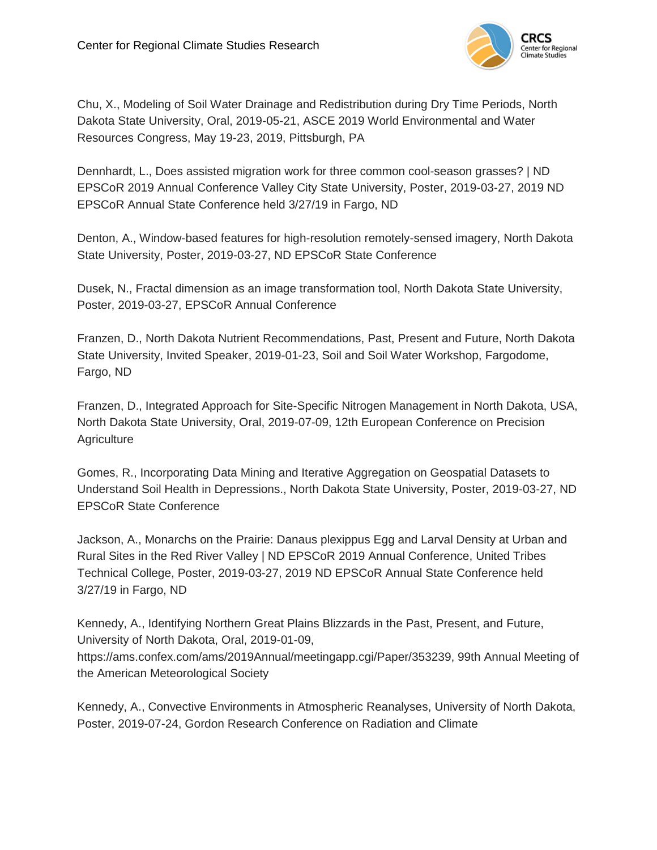

Chu, X., Modeling of Soil Water Drainage and Redistribution during Dry Time Periods, North Dakota State University, Oral, 2019-05-21, ASCE 2019 World Environmental and Water Resources Congress, May 19-23, 2019, Pittsburgh, PA

Dennhardt, L., Does assisted migration work for three common cool-season grasses? | ND EPSCoR 2019 Annual Conference Valley City State University, Poster, 2019-03-27, 2019 ND EPSCoR Annual State Conference held 3/27/19 in Fargo, ND

Denton, A., Window-based features for high-resolution remotely-sensed imagery, North Dakota State University, Poster, 2019-03-27, ND EPSCoR State Conference

Dusek, N., Fractal dimension as an image transformation tool, North Dakota State University, Poster, 2019-03-27, EPSCoR Annual Conference

Franzen, D., North Dakota Nutrient Recommendations, Past, Present and Future, North Dakota State University, Invited Speaker, 2019-01-23, Soil and Soil Water Workshop, Fargodome, Fargo, ND

Franzen, D., Integrated Approach for Site-Specific Nitrogen Management in North Dakota, USA, North Dakota State University, Oral, 2019-07-09, 12th European Conference on Precision **Agriculture** 

Gomes, R., Incorporating Data Mining and Iterative Aggregation on Geospatial Datasets to Understand Soil Health in Depressions., North Dakota State University, Poster, 2019-03-27, ND EPSCoR State Conference

Jackson, A., Monarchs on the Prairie: Danaus plexippus Egg and Larval Density at Urban and Rural Sites in the Red River Valley | ND EPSCoR 2019 Annual Conference, United Tribes Technical College, Poster, 2019-03-27, 2019 ND EPSCoR Annual State Conference held 3/27/19 in Fargo, ND

Kennedy, A., Identifying Northern Great Plains Blizzards in the Past, Present, and Future, University of North Dakota, Oral, 2019-01-09, https://ams.confex.com/ams/2019Annual/meetingapp.cgi/Paper/353239, 99th Annual Meeting of the American Meteorological Society

Kennedy, A., Convective Environments in Atmospheric Reanalyses, University of North Dakota, Poster, 2019-07-24, Gordon Research Conference on Radiation and Climate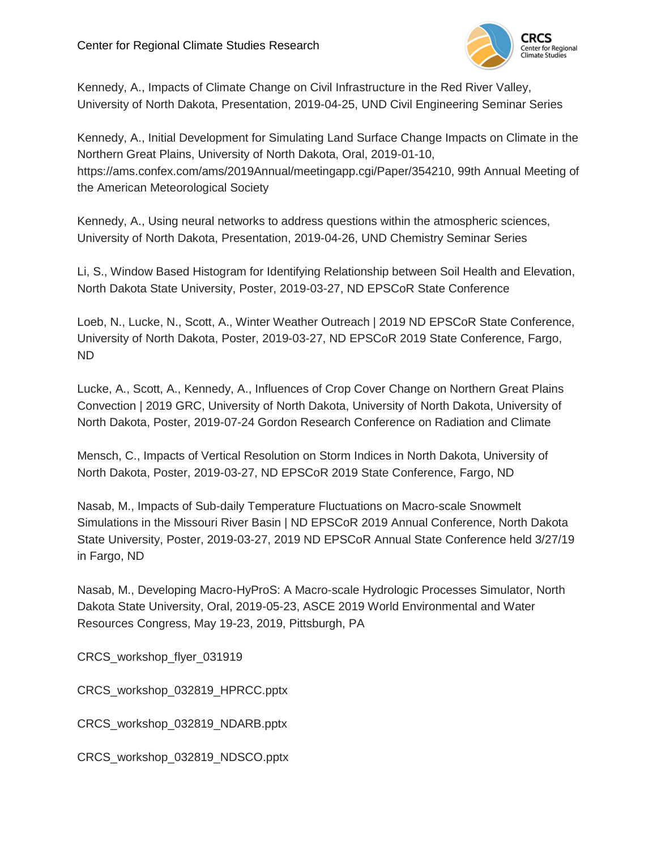

Kennedy, A., Impacts of Climate Change on Civil Infrastructure in the Red River Valley, University of North Dakota, Presentation, 2019-04-25, UND Civil Engineering Seminar Series

Kennedy, A., Initial Development for Simulating Land Surface Change Impacts on Climate in the Northern Great Plains, University of North Dakota, Oral, 2019-01-10, https://ams.confex.com/ams/2019Annual/meetingapp.cgi/Paper/354210, 99th Annual Meeting of the American Meteorological Society

Kennedy, A., Using neural networks to address questions within the atmospheric sciences, University of North Dakota, Presentation, 2019-04-26, UND Chemistry Seminar Series

Li, S., Window Based Histogram for Identifying Relationship between Soil Health and Elevation, North Dakota State University, Poster, 2019-03-27, ND EPSCoR State Conference

Loeb, N., Lucke, N., Scott, A., Winter Weather Outreach | 2019 ND EPSCoR State Conference, University of North Dakota, Poster, 2019-03-27, ND EPSCoR 2019 State Conference, Fargo, ND

Lucke, A., Scott, A., Kennedy, A., Influences of Crop Cover Change on Northern Great Plains Convection | 2019 GRC, University of North Dakota, University of North Dakota, University of North Dakota, Poster, 2019-07-24 Gordon Research Conference on Radiation and Climate

Mensch, C., Impacts of Vertical Resolution on Storm Indices in North Dakota, University of North Dakota, Poster, 2019-03-27, ND EPSCoR 2019 State Conference, Fargo, ND

Nasab, M., Impacts of Sub-daily Temperature Fluctuations on Macro-scale Snowmelt Simulations in the Missouri River Basin | ND EPSCoR 2019 Annual Conference, North Dakota State University, Poster, 2019-03-27, 2019 ND EPSCoR Annual State Conference held 3/27/19 in Fargo, ND

Nasab, M., Developing Macro-HyProS: A Macro-scale Hydrologic Processes Simulator, North Dakota State University, Oral, 2019-05-23, ASCE 2019 World Environmental and Water Resources Congress, May 19-23, 2019, Pittsburgh, PA

CRCS workshop flyer 031919

CRCS\_workshop\_032819\_HPRCC.pptx

CRCS\_workshop\_032819\_NDARB.pptx

CRCS\_workshop\_032819\_NDSCO.pptx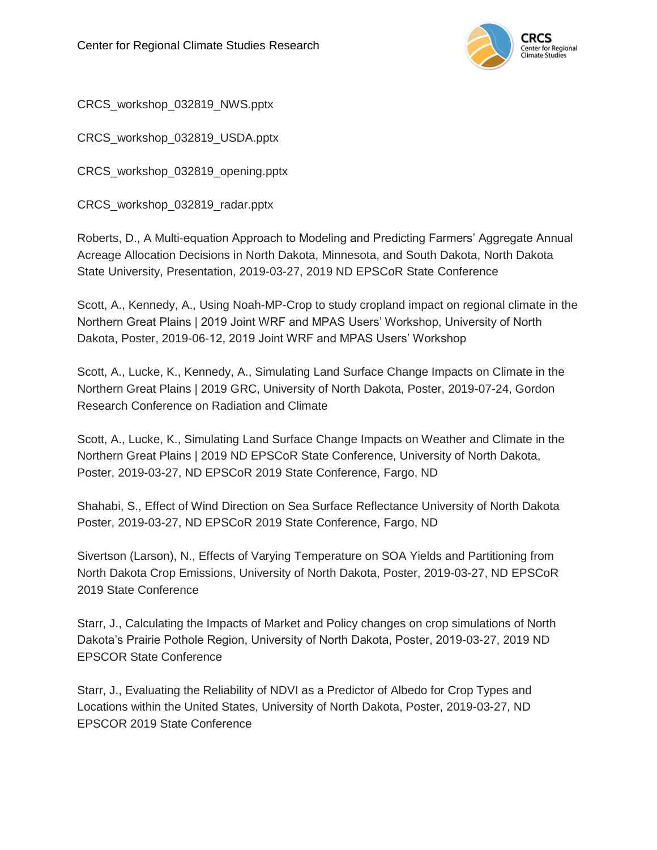

CRCS\_workshop\_032819\_NWS.pptx

CRCS\_workshop\_032819\_USDA.pptx

CRCS\_workshop\_032819\_opening.pptx

CRCS\_workshop\_032819\_radar.pptx

Roberts, D., A Multi-equation Approach to Modeling and Predicting Farmers' Aggregate Annual Acreage Allocation Decisions in North Dakota, Minnesota, and South Dakota, North Dakota State University, Presentation, 2019-03-27, 2019 ND EPSCoR State Conference

Scott, A., Kennedy, A., Using Noah-MP-Crop to study cropland impact on regional climate in the Northern Great Plains | 2019 Joint WRF and MPAS Users' Workshop, University of North Dakota, Poster, 2019-06-12, 2019 Joint WRF and MPAS Users' Workshop

Scott, A., Lucke, K., Kennedy, A., Simulating Land Surface Change Impacts on Climate in the Northern Great Plains | 2019 GRC, University of North Dakota, Poster, 2019-07-24, Gordon Research Conference on Radiation and Climate

Scott, A., Lucke, K., Simulating Land Surface Change Impacts on Weather and Climate in the Northern Great Plains | 2019 ND EPSCoR State Conference, University of North Dakota, Poster, 2019-03-27, ND EPSCoR 2019 State Conference, Fargo, ND

Shahabi, S., Effect of Wind Direction on Sea Surface Reflectance University of North Dakota Poster, 2019-03-27, ND EPSCoR 2019 State Conference, Fargo, ND

Sivertson (Larson), N., Effects of Varying Temperature on SOA Yields and Partitioning from North Dakota Crop Emissions, University of North Dakota, Poster, 2019-03-27, ND EPSCoR 2019 State Conference

Starr, J., Calculating the Impacts of Market and Policy changes on crop simulations of North Dakota's Prairie Pothole Region, University of North Dakota, Poster, 2019-03-27, 2019 ND EPSCOR State Conference

Starr, J., Evaluating the Reliability of NDVI as a Predictor of Albedo for Crop Types and Locations within the United States, University of North Dakota, Poster, 2019-03-27, ND EPSCOR 2019 State Conference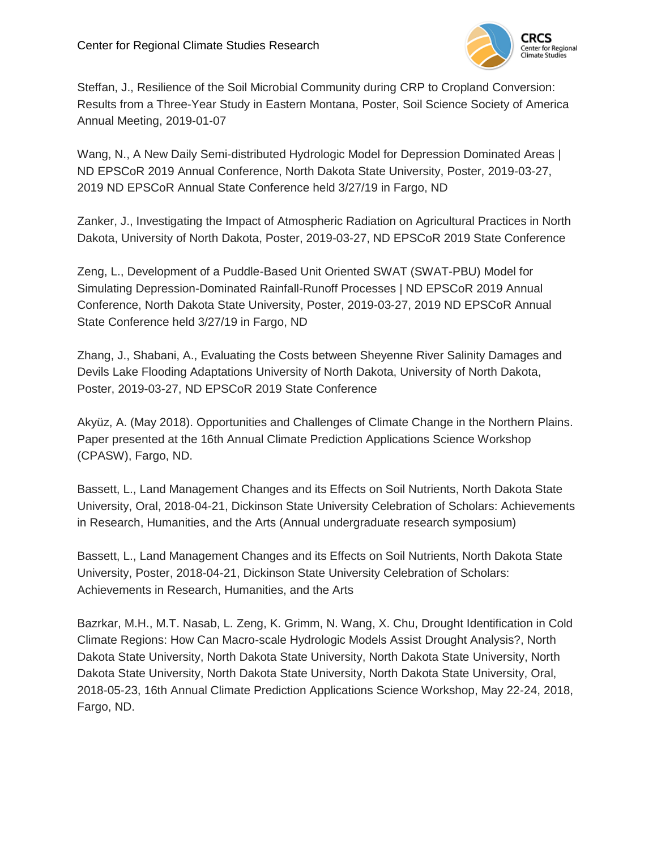

Steffan, J., Resilience of the Soil Microbial Community during CRP to Cropland Conversion: Results from a Three-Year Study in Eastern Montana, Poster, Soil Science Society of America Annual Meeting, 2019-01-07

Wang, N., A New Daily Semi-distributed Hydrologic Model for Depression Dominated Areas | ND EPSCoR 2019 Annual Conference, North Dakota State University, Poster, 2019-03-27, 2019 ND EPSCoR Annual State Conference held 3/27/19 in Fargo, ND

Zanker, J., Investigating the Impact of Atmospheric Radiation on Agricultural Practices in North Dakota, University of North Dakota, Poster, 2019-03-27, ND EPSCoR 2019 State Conference

Zeng, L., Development of a Puddle-Based Unit Oriented SWAT (SWAT-PBU) Model for Simulating Depression-Dominated Rainfall-Runoff Processes | ND EPSCoR 2019 Annual Conference, North Dakota State University, Poster, 2019-03-27, 2019 ND EPSCoR Annual State Conference held 3/27/19 in Fargo, ND

Zhang, J., Shabani, A., Evaluating the Costs between Sheyenne River Salinity Damages and Devils Lake Flooding Adaptations University of North Dakota, University of North Dakota, Poster, 2019-03-27, ND EPSCoR 2019 State Conference

Akyüz, A. (May 2018). Opportunities and Challenges of Climate Change in the Northern Plains. Paper presented at the 16th Annual Climate Prediction Applications Science Workshop (CPASW), Fargo, ND.

Bassett, L., Land Management Changes and its Effects on Soil Nutrients, North Dakota State University, Oral, 2018-04-21, Dickinson State University Celebration of Scholars: Achievements in Research, Humanities, and the Arts (Annual undergraduate research symposium)

Bassett, L., Land Management Changes and its Effects on Soil Nutrients, North Dakota State University, Poster, 2018-04-21, Dickinson State University Celebration of Scholars: Achievements in Research, Humanities, and the Arts

Bazrkar, M.H., M.T. Nasab, L. Zeng, K. Grimm, N. Wang, X. Chu, Drought Identification in Cold Climate Regions: How Can Macro-scale Hydrologic Models Assist Drought Analysis?, North Dakota State University, North Dakota State University, North Dakota State University, North Dakota State University, North Dakota State University, North Dakota State University, Oral, 2018-05-23, 16th Annual Climate Prediction Applications Science Workshop, May 22-24, 2018, Fargo, ND.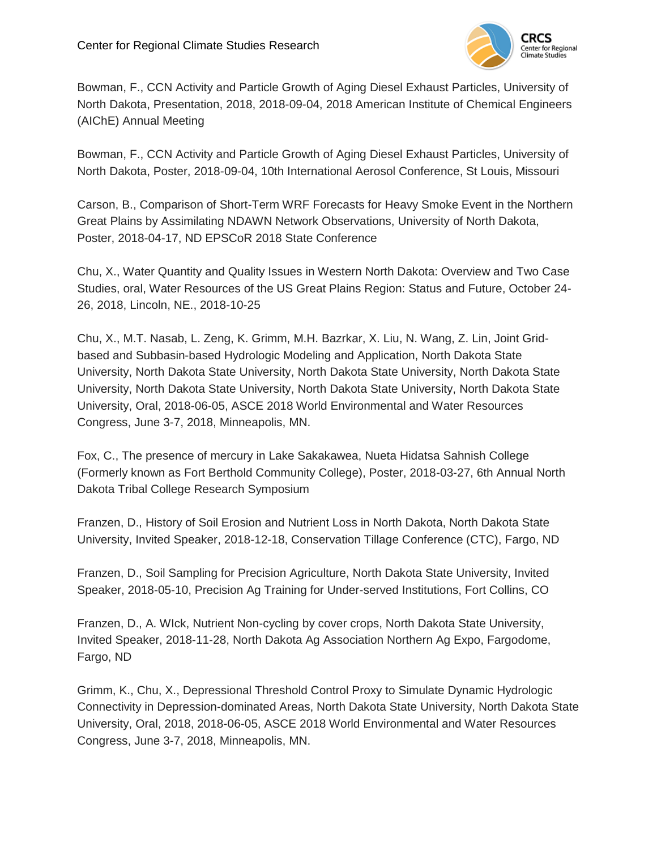

Bowman, F., CCN Activity and Particle Growth of Aging Diesel Exhaust Particles, University of North Dakota, Presentation, 2018, 2018-09-04, 2018 American Institute of Chemical Engineers (AIChE) Annual Meeting

Bowman, F., CCN Activity and Particle Growth of Aging Diesel Exhaust Particles, University of North Dakota, Poster, 2018-09-04, 10th International Aerosol Conference, St Louis, Missouri

Carson, B., Comparison of Short-Term WRF Forecasts for Heavy Smoke Event in the Northern Great Plains by Assimilating NDAWN Network Observations, University of North Dakota, Poster, 2018-04-17, ND EPSCoR 2018 State Conference

Chu, X., Water Quantity and Quality Issues in Western North Dakota: Overview and Two Case Studies, oral, Water Resources of the US Great Plains Region: Status and Future, October 24- 26, 2018, Lincoln, NE., 2018-10-25

Chu, X., M.T. Nasab, L. Zeng, K. Grimm, M.H. Bazrkar, X. Liu, N. Wang, Z. Lin, Joint Gridbased and Subbasin-based Hydrologic Modeling and Application, North Dakota State University, North Dakota State University, North Dakota State University, North Dakota State University, North Dakota State University, North Dakota State University, North Dakota State University, Oral, 2018-06-05, ASCE 2018 World Environmental and Water Resources Congress, June 3-7, 2018, Minneapolis, MN.

Fox, C., The presence of mercury in Lake Sakakawea, Nueta Hidatsa Sahnish College (Formerly known as Fort Berthold Community College), Poster, 2018-03-27, 6th Annual North Dakota Tribal College Research Symposium

Franzen, D., History of Soil Erosion and Nutrient Loss in North Dakota, North Dakota State University, Invited Speaker, 2018-12-18, Conservation Tillage Conference (CTC), Fargo, ND

Franzen, D., Soil Sampling for Precision Agriculture, North Dakota State University, Invited Speaker, 2018-05-10, Precision Ag Training for Under-served Institutions, Fort Collins, CO

Franzen, D., A. WIck, Nutrient Non-cycling by cover crops, North Dakota State University, Invited Speaker, 2018-11-28, North Dakota Ag Association Northern Ag Expo, Fargodome, Fargo, ND

Grimm, K., Chu, X., Depressional Threshold Control Proxy to Simulate Dynamic Hydrologic Connectivity in Depression-dominated Areas, North Dakota State University, North Dakota State University, Oral, 2018, 2018-06-05, ASCE 2018 World Environmental and Water Resources Congress, June 3-7, 2018, Minneapolis, MN.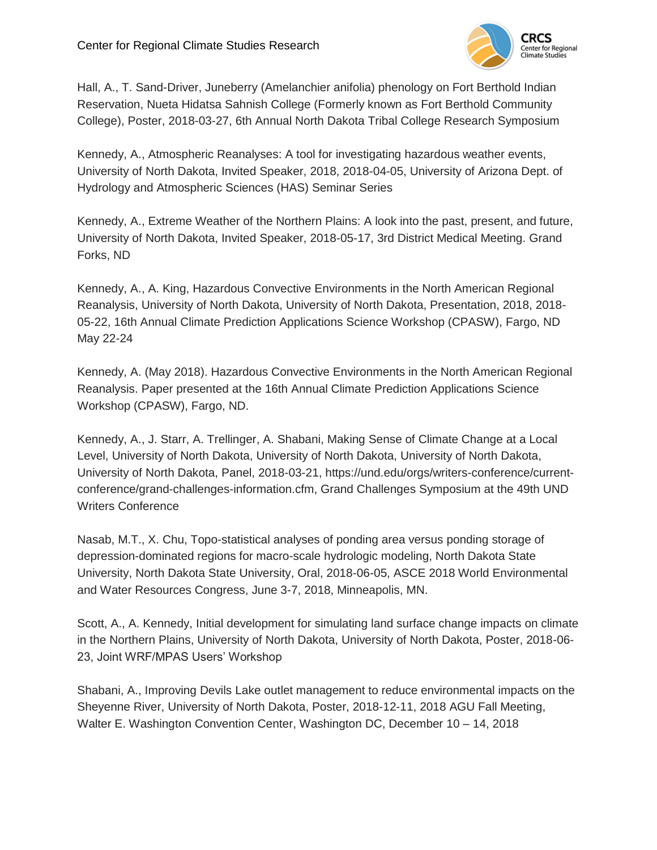

Hall, A., T. Sand-Driver, Juneberry (Amelanchier anifolia) phenology on Fort Berthold Indian Reservation, Nueta Hidatsa Sahnish College (Formerly known as Fort Berthold Community College), Poster, 2018-03-27, 6th Annual North Dakota Tribal College Research Symposium

Kennedy, A., Atmospheric Reanalyses: A tool for investigating hazardous weather events, University of North Dakota, Invited Speaker, 2018, 2018-04-05, University of Arizona Dept. of Hydrology and Atmospheric Sciences (HAS) Seminar Series

Kennedy, A., Extreme Weather of the Northern Plains: A look into the past, present, and future, University of North Dakota, Invited Speaker, 2018-05-17, 3rd District Medical Meeting. Grand Forks, ND

Kennedy, A., A. King, Hazardous Convective Environments in the North American Regional Reanalysis, University of North Dakota, University of North Dakota, Presentation, 2018, 2018- 05-22, 16th Annual Climate Prediction Applications Science Workshop (CPASW), Fargo, ND May 22-24

Kennedy, A. (May 2018). Hazardous Convective Environments in the North American Regional Reanalysis. Paper presented at the 16th Annual Climate Prediction Applications Science Workshop (CPASW), Fargo, ND.

Kennedy, A., J. Starr, A. Trellinger, A. Shabani, Making Sense of Climate Change at a Local Level, University of North Dakota, University of North Dakota, University of North Dakota, University of North Dakota, Panel, 2018-03-21, https://und.edu/orgs/writers-conference/currentconference/grand-challenges-information.cfm, Grand Challenges Symposium at the 49th UND Writers Conference

Nasab, M.T., X. Chu, Topo-statistical analyses of ponding area versus ponding storage of depression-dominated regions for macro-scale hydrologic modeling, North Dakota State University, North Dakota State University, Oral, 2018-06-05, ASCE 2018 World Environmental and Water Resources Congress, June 3-7, 2018, Minneapolis, MN.

Scott, A., A. Kennedy, Initial development for simulating land surface change impacts on climate in the Northern Plains, University of North Dakota, University of North Dakota, Poster, 2018-06- 23, Joint WRF/MPAS Users' Workshop

Shabani, A., Improving Devils Lake outlet management to reduce environmental impacts on the Sheyenne River, University of North Dakota, Poster, 2018-12-11, 2018 AGU Fall Meeting, Walter E. Washington Convention Center, Washington DC, December 10 – 14, 2018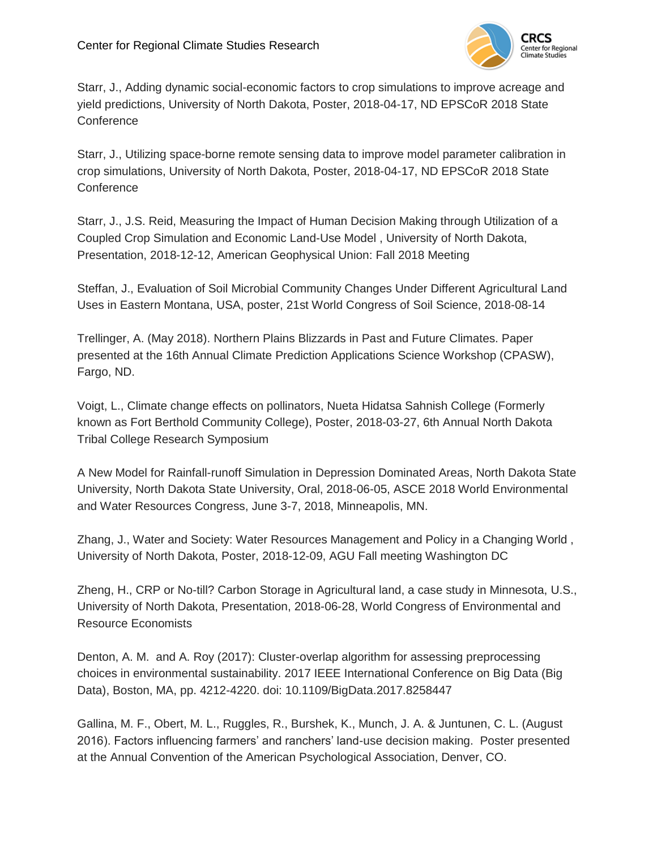

Starr, J., Adding dynamic social-economic factors to crop simulations to improve acreage and yield predictions, University of North Dakota, Poster, 2018-04-17, ND EPSCoR 2018 State **Conference** 

Starr, J., Utilizing space-borne remote sensing data to improve model parameter calibration in crop simulations, University of North Dakota, Poster, 2018-04-17, ND EPSCoR 2018 State **Conference** 

Starr, J., J.S. Reid, Measuring the Impact of Human Decision Making through Utilization of a Coupled Crop Simulation and Economic Land-Use Model , University of North Dakota, Presentation, 2018-12-12, American Geophysical Union: Fall 2018 Meeting

Steffan, J., Evaluation of Soil Microbial Community Changes Under Different Agricultural Land Uses in Eastern Montana, USA, poster, 21st World Congress of Soil Science, 2018-08-14

Trellinger, A. (May 2018). Northern Plains Blizzards in Past and Future Climates. Paper presented at the 16th Annual Climate Prediction Applications Science Workshop (CPASW), Fargo, ND.

Voigt, L., Climate change effects on pollinators, Nueta Hidatsa Sahnish College (Formerly known as Fort Berthold Community College), Poster, 2018-03-27, 6th Annual North Dakota Tribal College Research Symposium

A New Model for Rainfall-runoff Simulation in Depression Dominated Areas, North Dakota State University, North Dakota State University, Oral, 2018-06-05, ASCE 2018 World Environmental and Water Resources Congress, June 3-7, 2018, Minneapolis, MN.

Zhang, J., Water and Society: Water Resources Management and Policy in a Changing World , University of North Dakota, Poster, 2018-12-09, AGU Fall meeting Washington DC

Zheng, H., CRP or No-till? Carbon Storage in Agricultural land, a case study in Minnesota, U.S., University of North Dakota, Presentation, 2018-06-28, World Congress of Environmental and Resource Economists

Denton, A. M. and A. Roy (2017): Cluster-overlap algorithm for assessing preprocessing choices in environmental sustainability. 2017 IEEE International Conference on Big Data (Big Data), Boston, MA, pp. 4212-4220. doi: 10.1109/BigData.2017.8258447

Gallina, M. F., Obert, M. L., Ruggles, R., Burshek, K., Munch, J. A. & Juntunen, C. L. (August 2016). Factors influencing farmers' and ranchers' land-use decision making. Poster presented at the Annual Convention of the American Psychological Association, Denver, CO.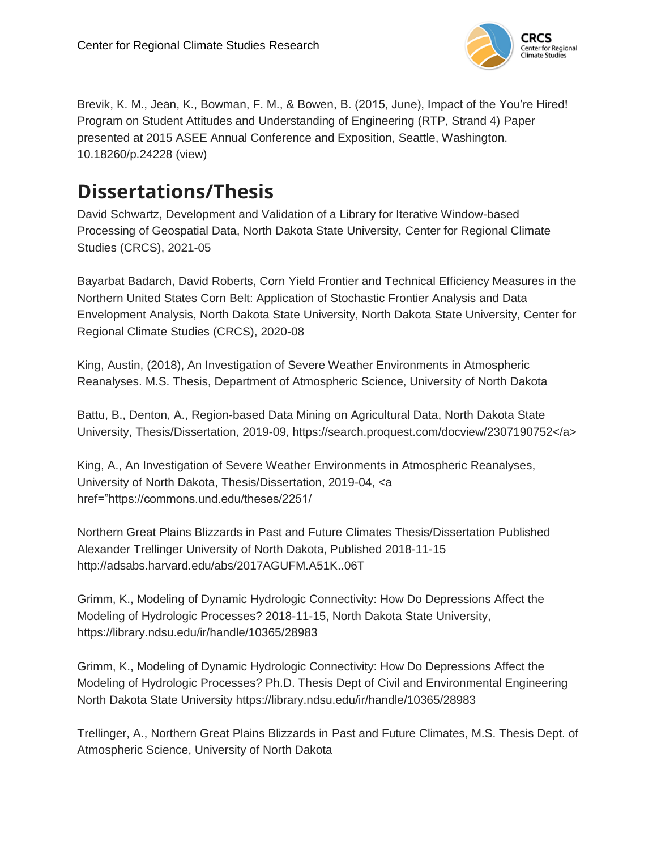

Brevik, K. M., Jean, K., Bowman, F. M., & Bowen, B. (2015, June), Impact of the You're Hired! Program on Student Attitudes and Understanding of Engineering (RTP, Strand 4) Paper presented at 2015 ASEE Annual Conference and Exposition, Seattle, Washington. 10.18260/p.24228 (view)

## **Dissertations/Thesis**

David Schwartz, Development and Validation of a Library for Iterative Window-based Processing of Geospatial Data, North Dakota State University, Center for Regional Climate Studies (CRCS), 2021-05

Bayarbat Badarch, David Roberts, Corn Yield Frontier and Technical Efficiency Measures in the Northern United States Corn Belt: Application of Stochastic Frontier Analysis and Data Envelopment Analysis, North Dakota State University, North Dakota State University, Center for Regional Climate Studies (CRCS), 2020-08

King, Austin, (2018), An Investigation of Severe Weather Environments in Atmospheric Reanalyses. M.S. Thesis, Department of Atmospheric Science, University of North Dakota

Battu, B., Denton, A., Region-based Data Mining on Agricultural Data, North Dakota State University, Thesis/Dissertation, 2019-09, https://search.proquest.com/docview/2307190752</a>

King, A., An Investigation of Severe Weather Environments in Atmospheric Reanalyses, University of North Dakota, Thesis/Dissertation, 2019-04, <a href="https://commons.und.edu/theses/2251/

Northern Great Plains Blizzards in Past and Future Climates Thesis/Dissertation Published Alexander Trellinger University of North Dakota, Published 2018-11-15 http://adsabs.harvard.edu/abs/2017AGUFM.A51K..06T

Grimm, K., Modeling of Dynamic Hydrologic Connectivity: How Do Depressions Affect the Modeling of Hydrologic Processes? 2018-11-15, North Dakota State University, https://library.ndsu.edu/ir/handle/10365/28983

Grimm, K., Modeling of Dynamic Hydrologic Connectivity: How Do Depressions Affect the Modeling of Hydrologic Processes? Ph.D. Thesis Dept of Civil and Environmental Engineering North Dakota State University https://library.ndsu.edu/ir/handle/10365/28983

Trellinger, A., Northern Great Plains Blizzards in Past and Future Climates, M.S. Thesis Dept. of Atmospheric Science, University of North Dakota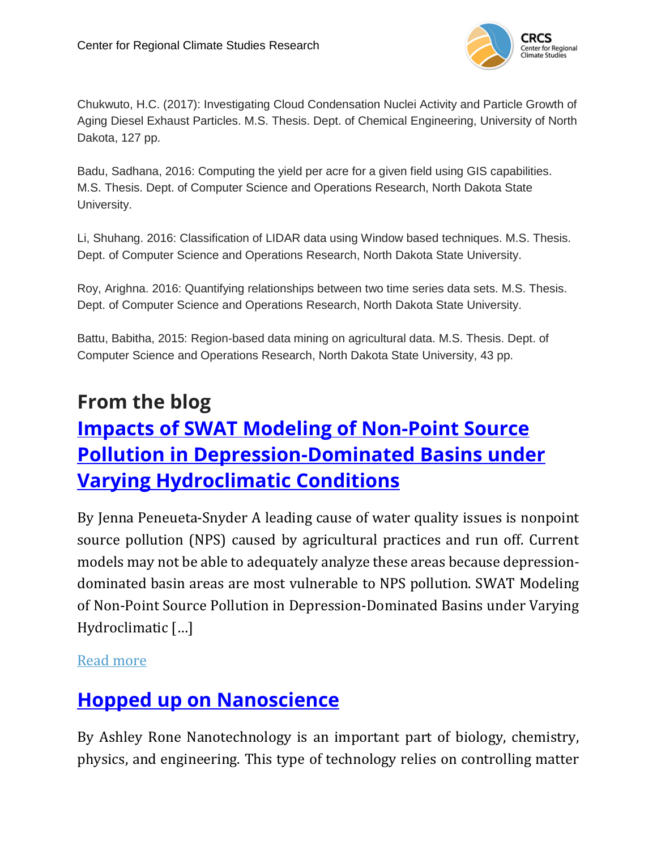

Chukwuto, H.C. (2017): Investigating Cloud Condensation Nuclei Activity and Particle Growth of Aging Diesel Exhaust Particles. M.S. Thesis. Dept. of Chemical Engineering, University of North Dakota, 127 pp.

Badu, Sadhana, 2016: Computing the yield per acre for a given field using GIS capabilities. M.S. Thesis. Dept. of Computer Science and Operations Research, North Dakota State University.

Li, Shuhang. 2016: Classification of LIDAR data using Window based techniques. M.S. Thesis. Dept. of Computer Science and Operations Research, North Dakota State University.

Roy, Arighna. 2016: Quantifying relationships between two time series data sets. M.S. Thesis. Dept. of Computer Science and Operations Research, North Dakota State University.

Battu, Babitha, 2015: Region-based data mining on agricultural data. M.S. Thesis. Dept. of Computer Science and Operations Research, North Dakota State University, 43 pp.

# **From the blog Impacts of SWAT Modeling of [Non-Point](https://und-crcs.org/2019/04/15/impacts-of-swat-modeling-of-non-point-source-pollution-in-depression-dominated-basins-under-varying-hydroclimatic-conditions/) Source Pollution in [Depression-Dominated](https://und-crcs.org/2019/04/15/impacts-of-swat-modeling-of-non-point-source-pollution-in-depression-dominated-basins-under-varying-hydroclimatic-conditions/) Basins under Varying [Hydroclimatic](https://und-crcs.org/2019/04/15/impacts-of-swat-modeling-of-non-point-source-pollution-in-depression-dominated-basins-under-varying-hydroclimatic-conditions/) Conditions**

By Jenna Peneueta-Snyder A leading cause of water quality issues is nonpoint source pollution (NPS) caused by agricultural practices and run off. Current models may not be able to adequately analyze these areas because depressiondominated basin areas are most vulnerable to NPS pollution. SWAT Modeling of Non-Point Source Pollution in Depression-Dominated Basins under Varying Hydroclimatic […]

Read [more](https://und-crcs.org/2019/04/15/impacts-of-swat-modeling-of-non-point-source-pollution-in-depression-dominated-basins-under-varying-hydroclimatic-conditions/)

# **Hopped up on [Nanoscience](https://und-crcs.org/2019/03/26/hopped-up-on-nanoscience/)**

By Ashley Rone Nanotechnology is an important part of biology, chemistry, physics, and engineering. This type of technology relies on controlling matter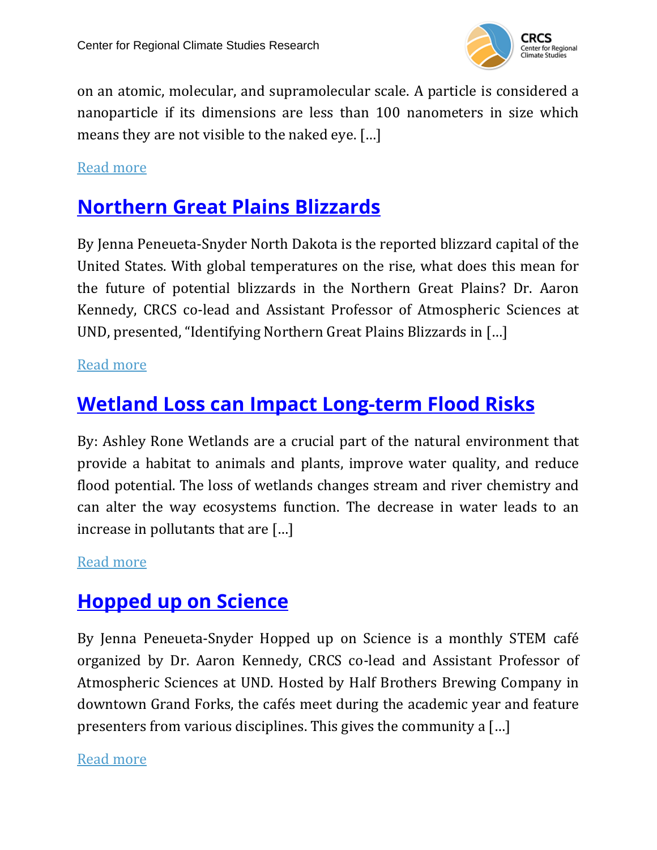

on an atomic, molecular, and supramolecular scale. A particle is considered a nanoparticle if its dimensions are less than 100 nanometers in size which means they are not visible to the naked eye. […]

#### Read [more](https://und-crcs.org/2019/03/26/hopped-up-on-nanoscience/)

### **[Northern](https://und-crcs.org/2019/03/07/3894/) Great Plains Blizzards**

By Jenna Peneueta-Snyder North Dakota is the reported blizzard capital of the United States. With global temperatures on the rise, what does this mean for the future of potential blizzards in the Northern Great Plains? Dr. Aaron Kennedy, CRCS co-lead and Assistant Professor of Atmospheric Sciences at UND, presented, "Identifying Northern Great Plains Blizzards in […]

#### Read [more](https://und-crcs.org/2019/03/07/3894/)

### **Wetland Loss can Impact [Long-term](https://und-crcs.org/2019/03/01/wetland-loss-can-impact-long-term-flood-risks/) Flood Risks**

By: Ashley Rone Wetlands are a crucial part of the natural environment that provide a habitat to animals and plants, improve water quality, and reduce flood potential. The loss of wetlands changes stream and river chemistry and can alter the way ecosystems function. The decrease in water leads to an increase in pollutants that are […]

#### Read [more](https://und-crcs.org/2019/03/01/wetland-loss-can-impact-long-term-flood-risks/)

### **[Hopped](https://und-crcs.org/2019/02/25/hopped-up-on-science/) up on Science**

By Jenna Peneueta-Snyder Hopped up on Science is a monthly STEM café organized by Dr. Aaron Kennedy, CRCS co-lead and Assistant Professor of Atmospheric Sciences at UND. Hosted by Half Brothers Brewing Company in downtown Grand Forks, the cafés meet during the academic year and feature presenters from various disciplines. This gives the community a […]

#### Read [more](https://und-crcs.org/2019/02/25/hopped-up-on-science/)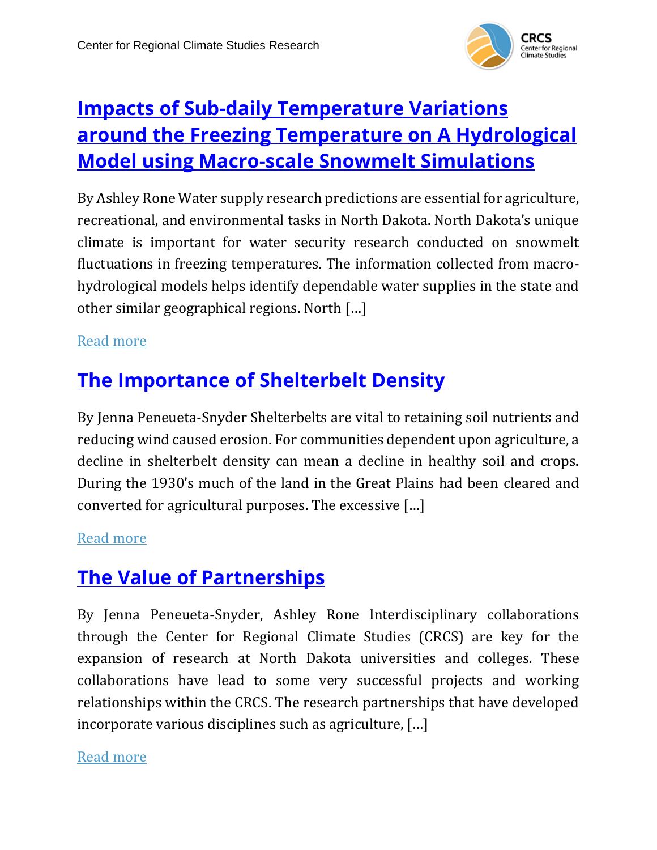

# **Impacts of Sub-daily [Temperature](https://und-crcs.org/2019/02/15/impacts-of-sub-daily-temperature-variations-around-the-freezing-temperature-on-a-hydrological-model-using-macro-scale-snowmelt-simulations/) Variations around the Freezing [Temperature](https://und-crcs.org/2019/02/15/impacts-of-sub-daily-temperature-variations-around-the-freezing-temperature-on-a-hydrological-model-using-macro-scale-snowmelt-simulations/) on A Hydrological Model using [Macro-scale](https://und-crcs.org/2019/02/15/impacts-of-sub-daily-temperature-variations-around-the-freezing-temperature-on-a-hydrological-model-using-macro-scale-snowmelt-simulations/) Snowmelt Simulations**

By Ashley Rone Water supply research predictions are essential for agriculture, recreational, and environmental tasks in North Dakota. North Dakota's unique climate is important for water security research conducted on snowmelt fluctuations in freezing temperatures. The information collected from macrohydrological models helps identify dependable water supplies in the state and other similar geographical regions. North […]

#### Read [more](https://und-crcs.org/2019/02/15/impacts-of-sub-daily-temperature-variations-around-the-freezing-temperature-on-a-hydrological-model-using-macro-scale-snowmelt-simulations/)

## **The [Importance](https://und-crcs.org/2019/02/12/the-importance-of-shelterbelt-density/) of Shelterbelt Density**

By Jenna Peneueta-Snyder Shelterbelts are vital to retaining soil nutrients and reducing wind caused erosion. For communities dependent upon agriculture, a decline in shelterbelt density can mean a decline in healthy soil and crops. During the 1930's much of the land in the Great Plains had been cleared and converted for agricultural purposes. The excessive […]

#### Read [more](https://und-crcs.org/2019/02/12/the-importance-of-shelterbelt-density/)

### **The Value of [Partnerships](https://und-crcs.org/2019/02/01/the-value-of-partnerships/)**

By Jenna Peneueta-Snyder, Ashley Rone Interdisciplinary collaborations through the Center for Regional Climate Studies (CRCS) are key for the expansion of research at North Dakota universities and colleges. These collaborations have lead to some very successful projects and working relationships within the CRCS. The research partnerships that have developed incorporate various disciplines such as agriculture, […]

Read [more](https://und-crcs.org/2019/02/01/the-value-of-partnerships/)